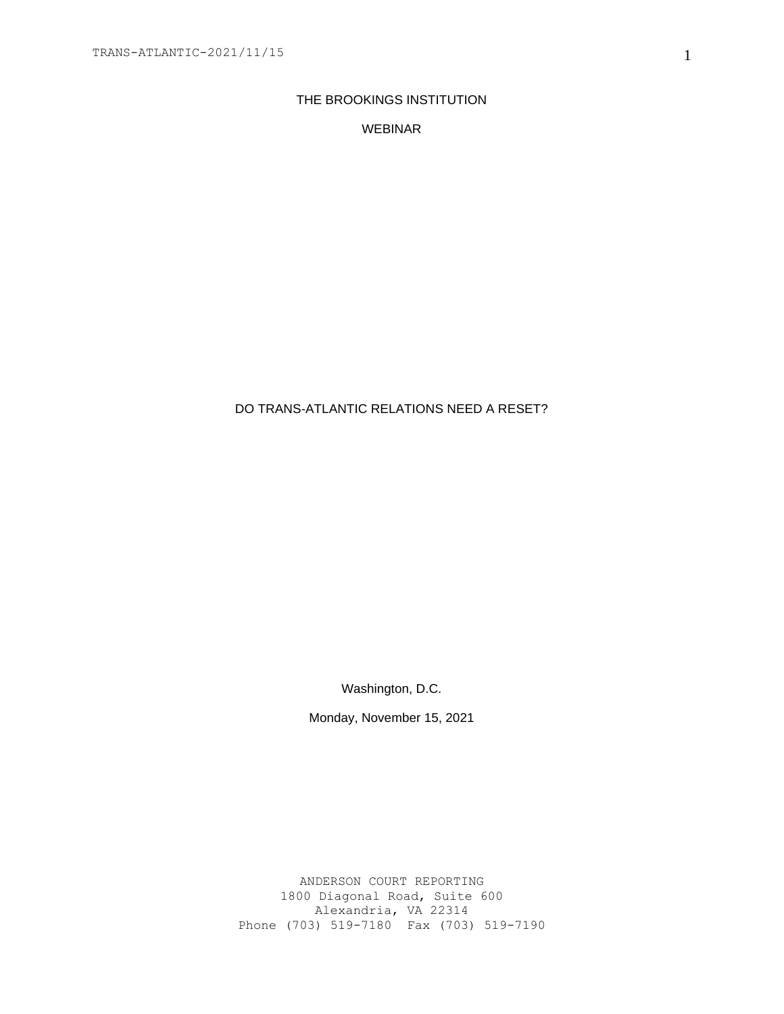# THE BROOKINGS INSTITUTION

# WEBINAR

# DO TRANS-ATLANTIC RELATIONS NEED A RESET?

Washington, D.C.

Monday, November 15, 2021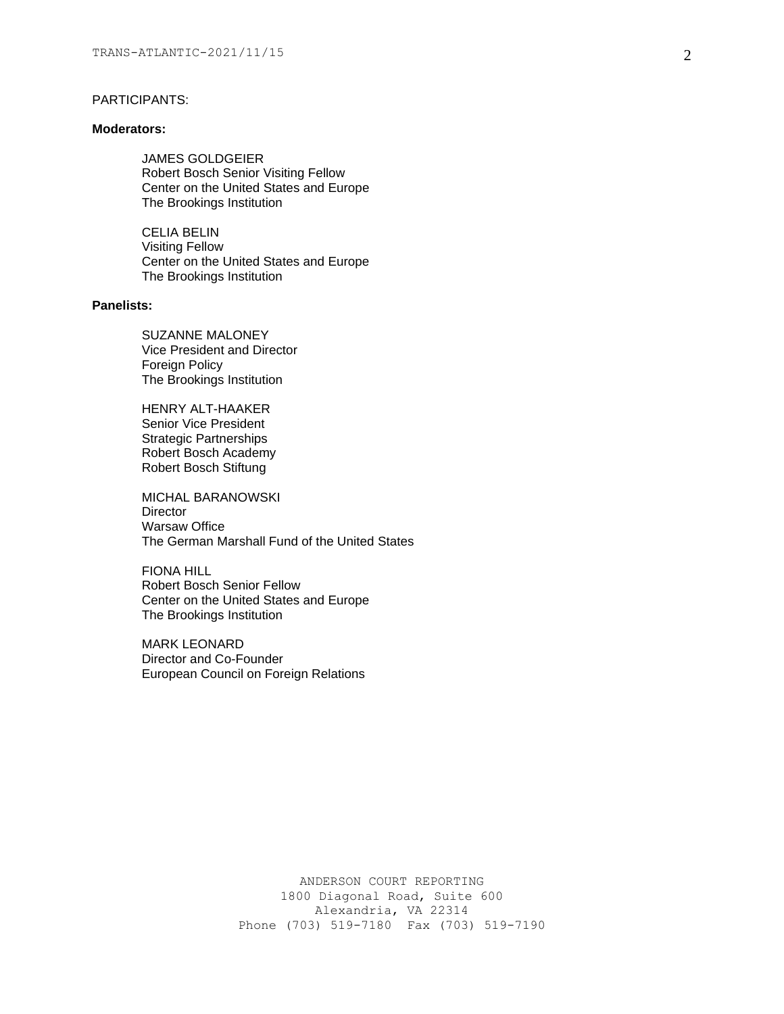## PARTICIPANTS:

#### **Moderators:**

JAMES GOLDGEIER Robert Bosch Senior Visiting Fellow Center on the United States and Europe The Brookings Institution

CELIA BELIN Visiting Fellow Center on the United States and Europe The Brookings Institution

## **Panelists:**

SUZANNE MALONEY Vice President and Director Foreign Policy The Brookings Institution

HENRY ALT-HAAKER Senior Vice President Strategic Partnerships Robert Bosch Academy Robert Bosch Stiftung

MICHAL BARANOWSKI **Director** Warsaw Office The German Marshall Fund of the United States

FIONA HILL Robert Bosch Senior Fellow Center on the United States and Europe The Brookings Institution

MARK LEONARD Director and Co-Founder European Council on Foreign Relations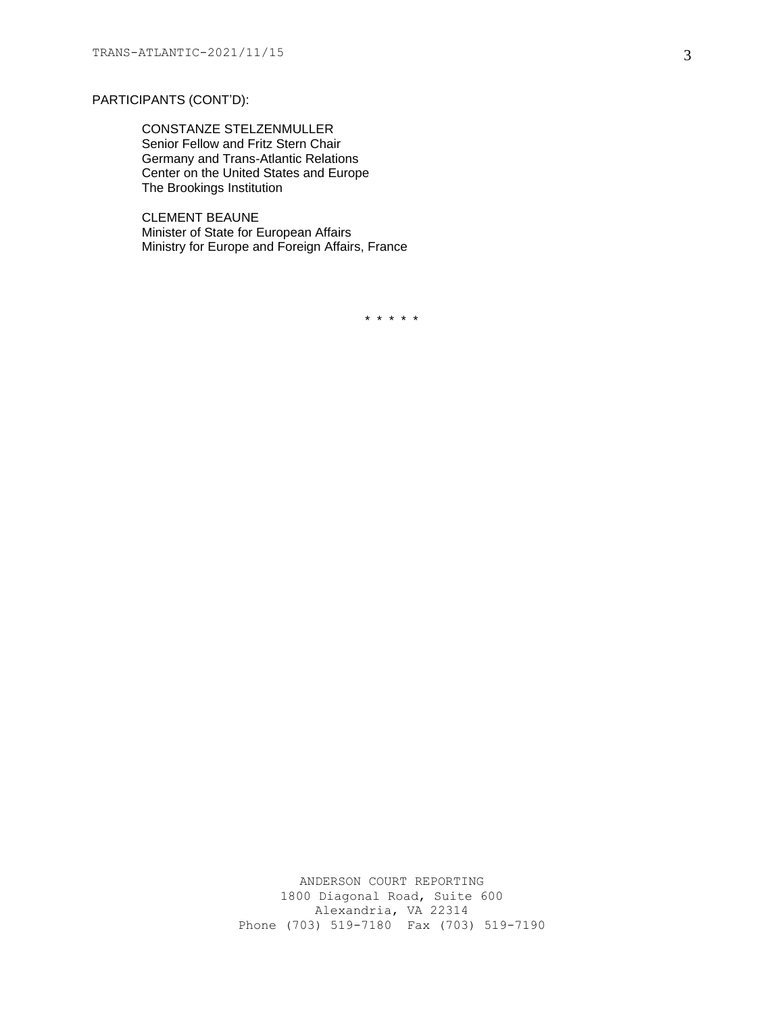# PARTICIPANTS (CONT'D):

CONSTANZE STELZENMULLER Senior Fellow and Fritz Stern Chair Germany and Trans-Atlantic Relations Center on the United States and Europe The Brookings Institution

CLEMENT BEAUNE Minister of State for European Affairs Ministry for Europe and Foreign Affairs, France

\* \* \* \* \*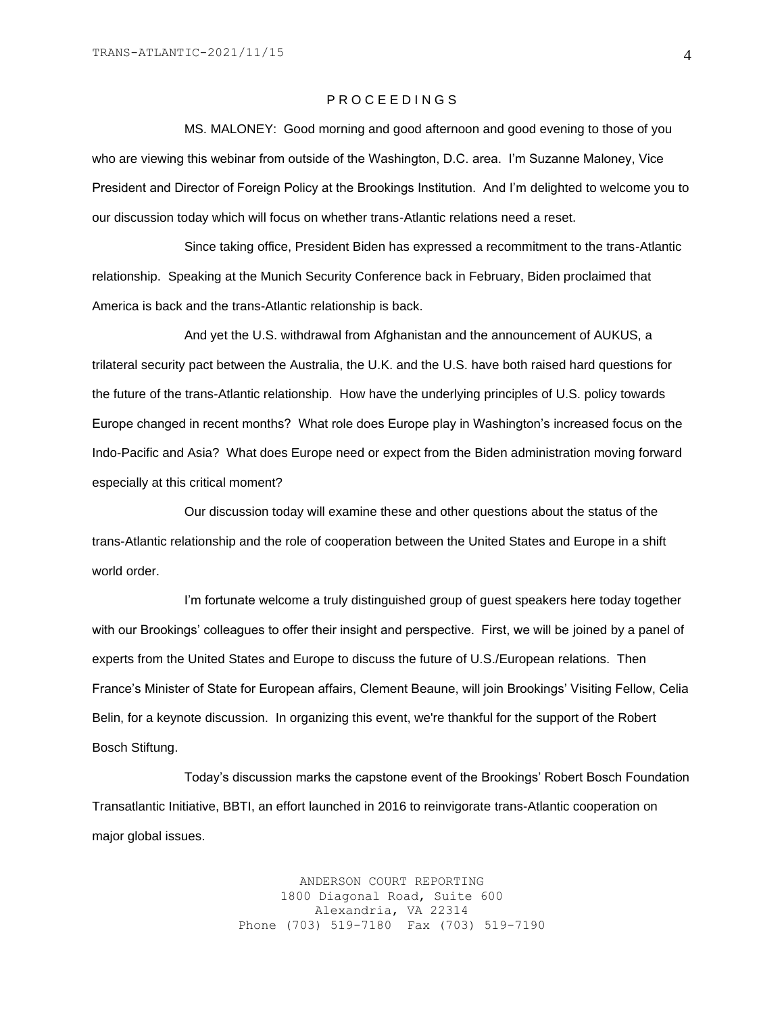### P R O C E E D I N G S

MS. MALONEY: Good morning and good afternoon and good evening to those of you who are viewing this webinar from outside of the Washington, D.C. area. I'm Suzanne Maloney, Vice President and Director of Foreign Policy at the Brookings Institution. And I'm delighted to welcome you to our discussion today which will focus on whether trans-Atlantic relations need a reset.

Since taking office, President Biden has expressed a recommitment to the trans-Atlantic relationship. Speaking at the Munich Security Conference back in February, Biden proclaimed that America is back and the trans-Atlantic relationship is back.

And yet the U.S. withdrawal from Afghanistan and the announcement of AUKUS, a trilateral security pact between the Australia, the U.K. and the U.S. have both raised hard questions for the future of the trans-Atlantic relationship. How have the underlying principles of U.S. policy towards Europe changed in recent months? What role does Europe play in Washington's increased focus on the Indo-Pacific and Asia? What does Europe need or expect from the Biden administration moving forward especially at this critical moment?

Our discussion today will examine these and other questions about the status of the trans-Atlantic relationship and the role of cooperation between the United States and Europe in a shift world order.

I'm fortunate welcome a truly distinguished group of guest speakers here today together with our Brookings' colleagues to offer their insight and perspective. First, we will be joined by a panel of experts from the United States and Europe to discuss the future of U.S./European relations. Then France's Minister of State for European affairs, Clement Beaune, will join Brookings' Visiting Fellow, Celia Belin, for a keynote discussion. In organizing this event, we're thankful for the support of the Robert Bosch Stiftung.

Today's discussion marks the capstone event of the Brookings' Robert Bosch Foundation Transatlantic Initiative, BBTI, an effort launched in 2016 to reinvigorate trans-Atlantic cooperation on major global issues.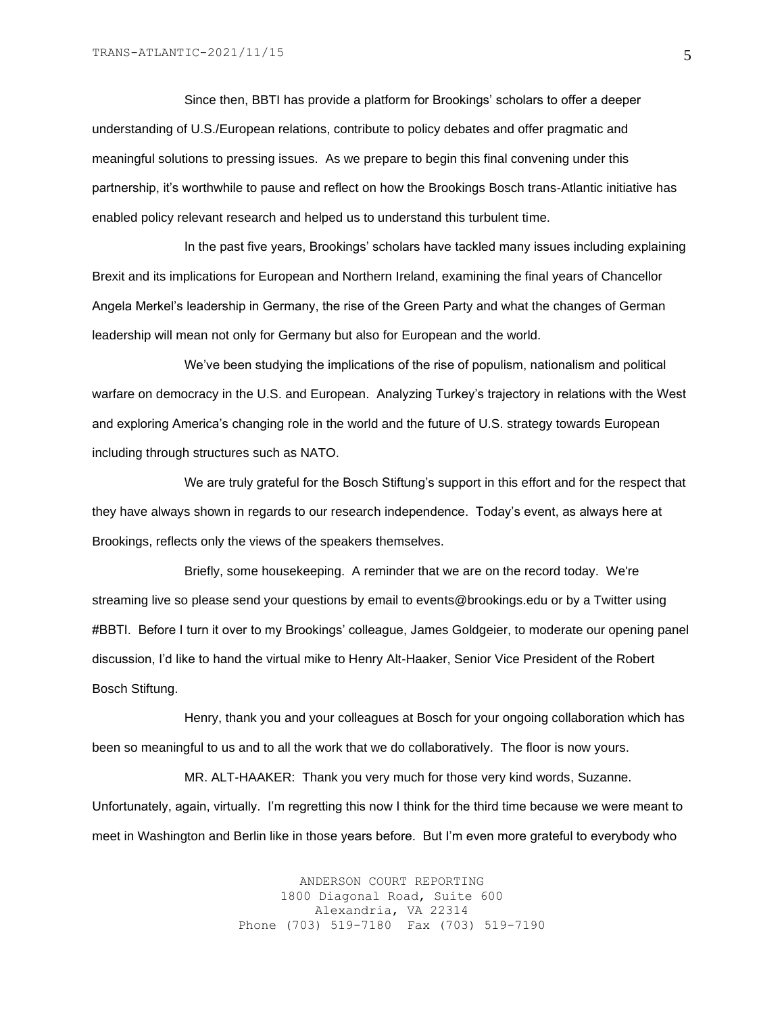Since then, BBTI has provide a platform for Brookings' scholars to offer a deeper understanding of U.S./European relations, contribute to policy debates and offer pragmatic and meaningful solutions to pressing issues. As we prepare to begin this final convening under this partnership, it's worthwhile to pause and reflect on how the Brookings Bosch trans-Atlantic initiative has enabled policy relevant research and helped us to understand this turbulent time.

In the past five years, Brookings' scholars have tackled many issues including explaining Brexit and its implications for European and Northern Ireland, examining the final years of Chancellor Angela Merkel's leadership in Germany, the rise of the Green Party and what the changes of German leadership will mean not only for Germany but also for European and the world.

We've been studying the implications of the rise of populism, nationalism and political warfare on democracy in the U.S. and European. Analyzing Turkey's trajectory in relations with the West and exploring America's changing role in the world and the future of U.S. strategy towards European including through structures such as NATO.

We are truly grateful for the Bosch Stiftung's support in this effort and for the respect that they have always shown in regards to our research independence. Today's event, as always here at Brookings, reflects only the views of the speakers themselves.

Briefly, some housekeeping. A reminder that we are on the record today. We're streaming live so please send your questions by email to events@brookings.edu or by a Twitter using #BBTI. Before I turn it over to my Brookings' colleague, James Goldgeier, to moderate our opening panel discussion, I'd like to hand the virtual mike to Henry Alt-Haaker, Senior Vice President of the Robert Bosch Stiftung.

Henry, thank you and your colleagues at Bosch for your ongoing collaboration which has been so meaningful to us and to all the work that we do collaboratively. The floor is now yours.

MR. ALT-HAAKER: Thank you very much for those very kind words, Suzanne. Unfortunately, again, virtually. I'm regretting this now I think for the third time because we were meant to meet in Washington and Berlin like in those years before. But I'm even more grateful to everybody who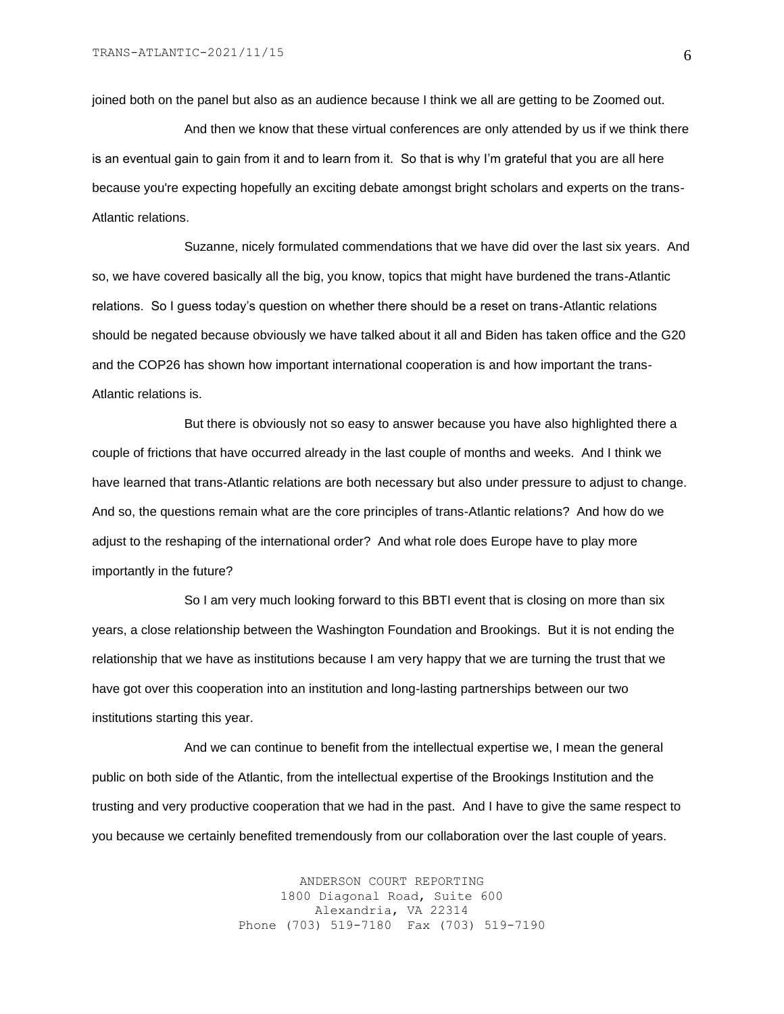joined both on the panel but also as an audience because I think we all are getting to be Zoomed out.

And then we know that these virtual conferences are only attended by us if we think there is an eventual gain to gain from it and to learn from it. So that is why I'm grateful that you are all here because you're expecting hopefully an exciting debate amongst bright scholars and experts on the trans-Atlantic relations.

Suzanne, nicely formulated commendations that we have did over the last six years. And so, we have covered basically all the big, you know, topics that might have burdened the trans-Atlantic relations. So I guess today's question on whether there should be a reset on trans-Atlantic relations should be negated because obviously we have talked about it all and Biden has taken office and the G20 and the COP26 has shown how important international cooperation is and how important the trans-Atlantic relations is.

But there is obviously not so easy to answer because you have also highlighted there a couple of frictions that have occurred already in the last couple of months and weeks. And I think we have learned that trans-Atlantic relations are both necessary but also under pressure to adjust to change. And so, the questions remain what are the core principles of trans-Atlantic relations? And how do we adjust to the reshaping of the international order? And what role does Europe have to play more importantly in the future?

So I am very much looking forward to this BBTI event that is closing on more than six years, a close relationship between the Washington Foundation and Brookings. But it is not ending the relationship that we have as institutions because I am very happy that we are turning the trust that we have got over this cooperation into an institution and long-lasting partnerships between our two institutions starting this year.

And we can continue to benefit from the intellectual expertise we, I mean the general public on both side of the Atlantic, from the intellectual expertise of the Brookings Institution and the trusting and very productive cooperation that we had in the past. And I have to give the same respect to you because we certainly benefited tremendously from our collaboration over the last couple of years.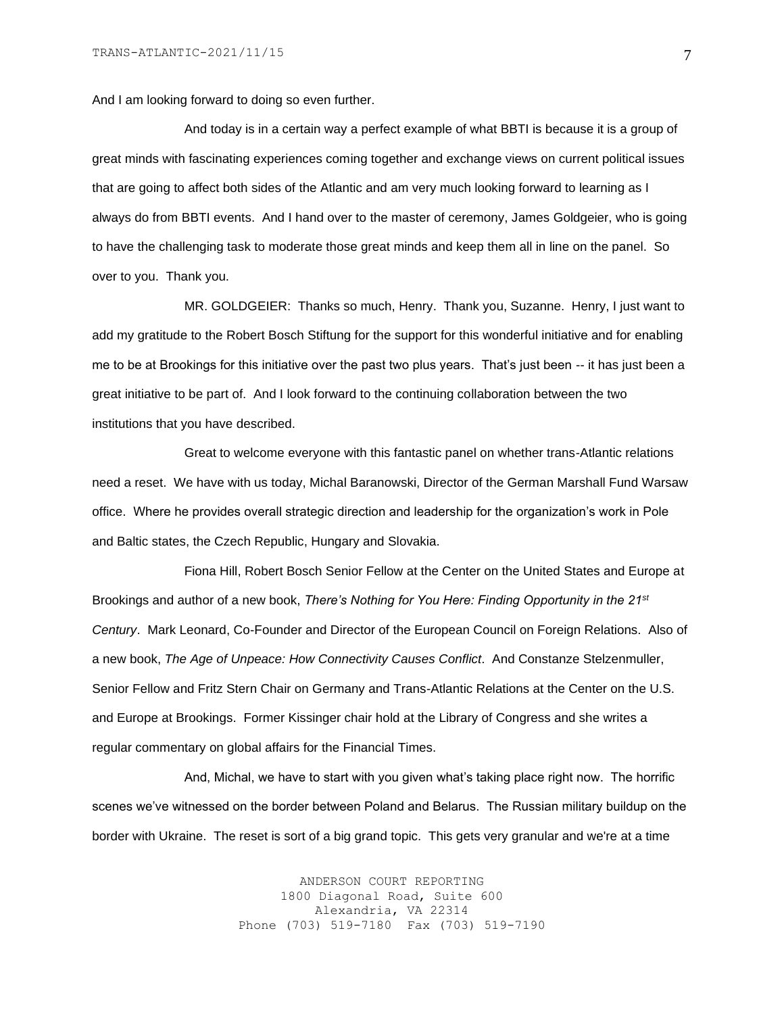And I am looking forward to doing so even further.

And today is in a certain way a perfect example of what BBTI is because it is a group of great minds with fascinating experiences coming together and exchange views on current political issues that are going to affect both sides of the Atlantic and am very much looking forward to learning as I always do from BBTI events. And I hand over to the master of ceremony, James Goldgeier, who is going to have the challenging task to moderate those great minds and keep them all in line on the panel. So over to you. Thank you.

MR. GOLDGEIER: Thanks so much, Henry. Thank you, Suzanne. Henry, I just want to add my gratitude to the Robert Bosch Stiftung for the support for this wonderful initiative and for enabling me to be at Brookings for this initiative over the past two plus years. That's just been -- it has just been a great initiative to be part of. And I look forward to the continuing collaboration between the two institutions that you have described.

Great to welcome everyone with this fantastic panel on whether trans-Atlantic relations need a reset. We have with us today, Michal Baranowski, Director of the German Marshall Fund Warsaw office. Where he provides overall strategic direction and leadership for the organization's work in Pole and Baltic states, the Czech Republic, Hungary and Slovakia.

Fiona Hill, Robert Bosch Senior Fellow at the Center on the United States and Europe at Brookings and author of a new book, *There's Nothing for You Here: Finding Opportunity in the 21st Century*. Mark Leonard, Co-Founder and Director of the European Council on Foreign Relations. Also of a new book, *The Age of Unpeace: How Connectivity Causes Conflict*. And Constanze Stelzenmuller, Senior Fellow and Fritz Stern Chair on Germany and Trans-Atlantic Relations at the Center on the U.S. and Europe at Brookings. Former Kissinger chair hold at the Library of Congress and she writes a regular commentary on global affairs for the Financial Times.

And, Michal, we have to start with you given what's taking place right now. The horrific scenes we've witnessed on the border between Poland and Belarus. The Russian military buildup on the border with Ukraine. The reset is sort of a big grand topic. This gets very granular and we're at a time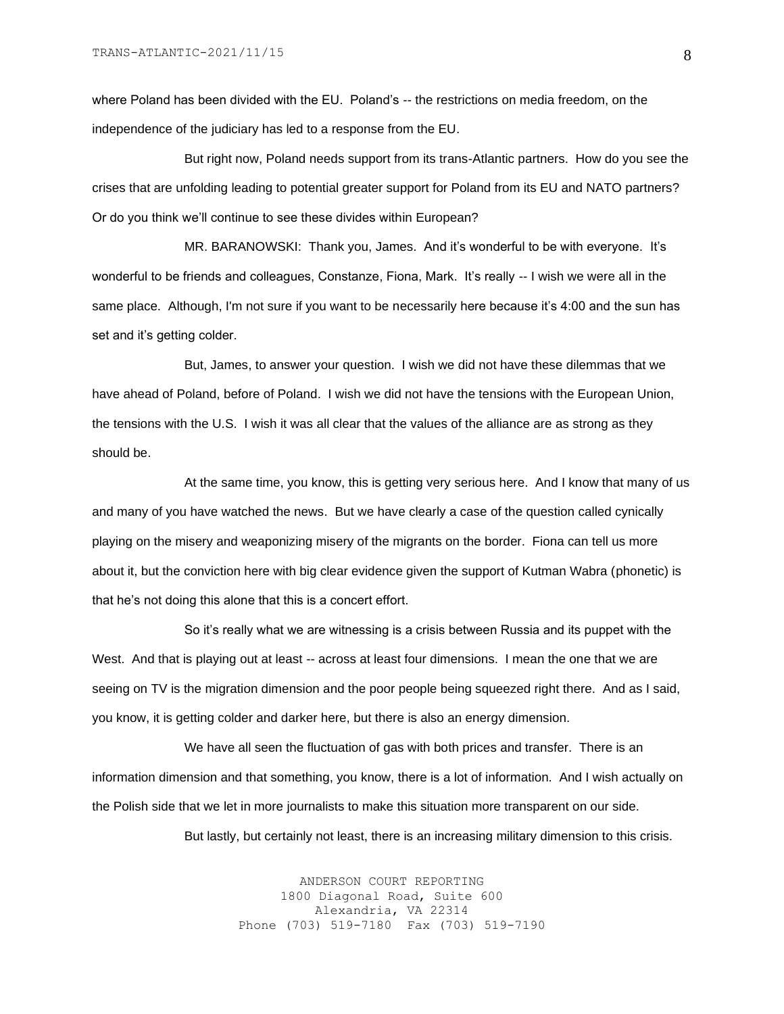where Poland has been divided with the EU. Poland's -- the restrictions on media freedom, on the independence of the judiciary has led to a response from the EU.

But right now, Poland needs support from its trans-Atlantic partners. How do you see the crises that are unfolding leading to potential greater support for Poland from its EU and NATO partners? Or do you think we'll continue to see these divides within European?

MR. BARANOWSKI: Thank you, James. And it's wonderful to be with everyone. It's wonderful to be friends and colleagues, Constanze, Fiona, Mark. It's really -- I wish we were all in the same place. Although, I'm not sure if you want to be necessarily here because it's 4:00 and the sun has set and it's getting colder.

But, James, to answer your question. I wish we did not have these dilemmas that we have ahead of Poland, before of Poland. I wish we did not have the tensions with the European Union, the tensions with the U.S. I wish it was all clear that the values of the alliance are as strong as they should be.

At the same time, you know, this is getting very serious here. And I know that many of us and many of you have watched the news. But we have clearly a case of the question called cynically playing on the misery and weaponizing misery of the migrants on the border. Fiona can tell us more about it, but the conviction here with big clear evidence given the support of Kutman Wabra (phonetic) is that he's not doing this alone that this is a concert effort.

So it's really what we are witnessing is a crisis between Russia and its puppet with the West. And that is playing out at least -- across at least four dimensions. I mean the one that we are seeing on TV is the migration dimension and the poor people being squeezed right there. And as I said, you know, it is getting colder and darker here, but there is also an energy dimension.

We have all seen the fluctuation of gas with both prices and transfer. There is an information dimension and that something, you know, there is a lot of information. And I wish actually on the Polish side that we let in more journalists to make this situation more transparent on our side.

But lastly, but certainly not least, there is an increasing military dimension to this crisis.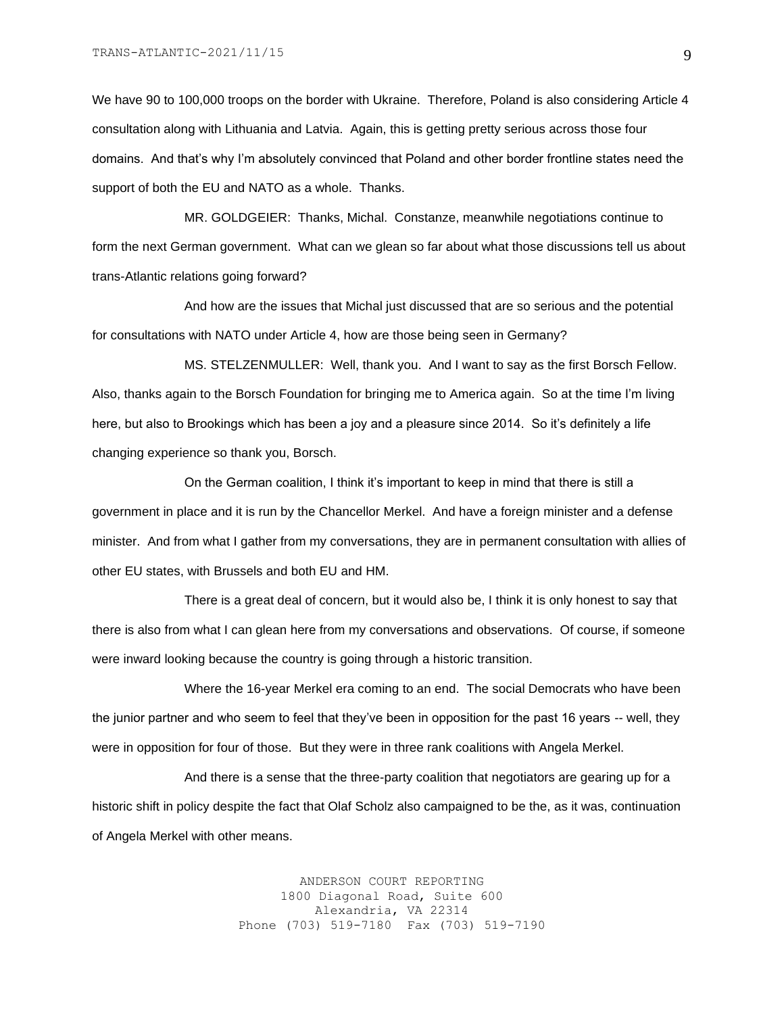We have 90 to 100,000 troops on the border with Ukraine. Therefore, Poland is also considering Article 4 consultation along with Lithuania and Latvia. Again, this is getting pretty serious across those four domains. And that's why I'm absolutely convinced that Poland and other border frontline states need the support of both the EU and NATO as a whole. Thanks.

MR. GOLDGEIER: Thanks, Michal. Constanze, meanwhile negotiations continue to form the next German government. What can we glean so far about what those discussions tell us about trans-Atlantic relations going forward?

And how are the issues that Michal just discussed that are so serious and the potential for consultations with NATO under Article 4, how are those being seen in Germany?

MS. STELZENMULLER: Well, thank you. And I want to say as the first Borsch Fellow. Also, thanks again to the Borsch Foundation for bringing me to America again. So at the time I'm living here, but also to Brookings which has been a joy and a pleasure since 2014. So it's definitely a life changing experience so thank you, Borsch.

On the German coalition, I think it's important to keep in mind that there is still a government in place and it is run by the Chancellor Merkel. And have a foreign minister and a defense minister. And from what I gather from my conversations, they are in permanent consultation with allies of other EU states, with Brussels and both EU and HM.

There is a great deal of concern, but it would also be, I think it is only honest to say that there is also from what I can glean here from my conversations and observations. Of course, if someone were inward looking because the country is going through a historic transition.

Where the 16-year Merkel era coming to an end. The social Democrats who have been the junior partner and who seem to feel that they've been in opposition for the past 16 years -- well, they were in opposition for four of those. But they were in three rank coalitions with Angela Merkel.

And there is a sense that the three-party coalition that negotiators are gearing up for a historic shift in policy despite the fact that Olaf Scholz also campaigned to be the, as it was, continuation of Angela Merkel with other means.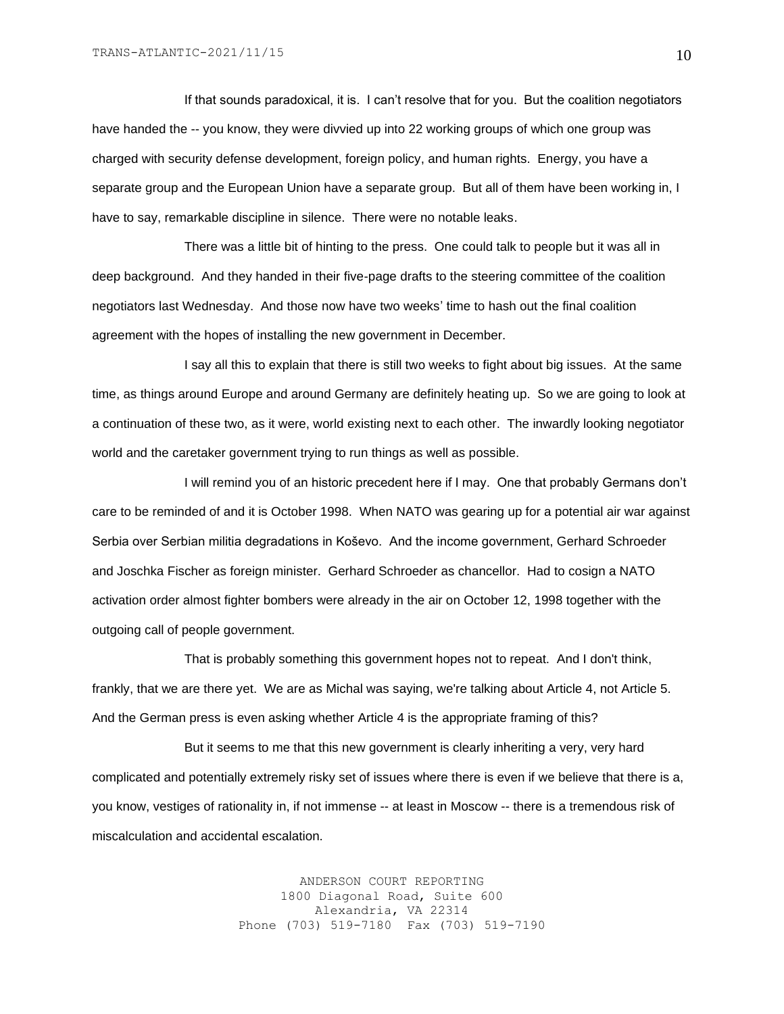If that sounds paradoxical, it is. I can't resolve that for you. But the coalition negotiators have handed the -- you know, they were divvied up into 22 working groups of which one group was charged with security defense development, foreign policy, and human rights. Energy, you have a separate group and the European Union have a separate group. But all of them have been working in, I have to say, remarkable discipline in silence. There were no notable leaks.

There was a little bit of hinting to the press. One could talk to people but it was all in deep background. And they handed in their five-page drafts to the steering committee of the coalition negotiators last Wednesday. And those now have two weeks' time to hash out the final coalition agreement with the hopes of installing the new government in December.

I say all this to explain that there is still two weeks to fight about big issues. At the same time, as things around Europe and around Germany are definitely heating up. So we are going to look at a continuation of these two, as it were, world existing next to each other. The inwardly looking negotiator world and the caretaker government trying to run things as well as possible.

I will remind you of an historic precedent here if I may. One that probably Germans don't care to be reminded of and it is October 1998. When NATO was gearing up for a potential air war against Serbia over Serbian militia degradations in Koševo. And the income government, Gerhard Schroeder and Joschka Fischer as foreign minister. Gerhard Schroeder as chancellor. Had to cosign a NATO activation order almost fighter bombers were already in the air on October 12, 1998 together with the outgoing call of people government.

That is probably something this government hopes not to repeat. And I don't think, frankly, that we are there yet. We are as Michal was saying, we're talking about Article 4, not Article 5. And the German press is even asking whether Article 4 is the appropriate framing of this?

But it seems to me that this new government is clearly inheriting a very, very hard complicated and potentially extremely risky set of issues where there is even if we believe that there is a, you know, vestiges of rationality in, if not immense -- at least in Moscow -- there is a tremendous risk of miscalculation and accidental escalation.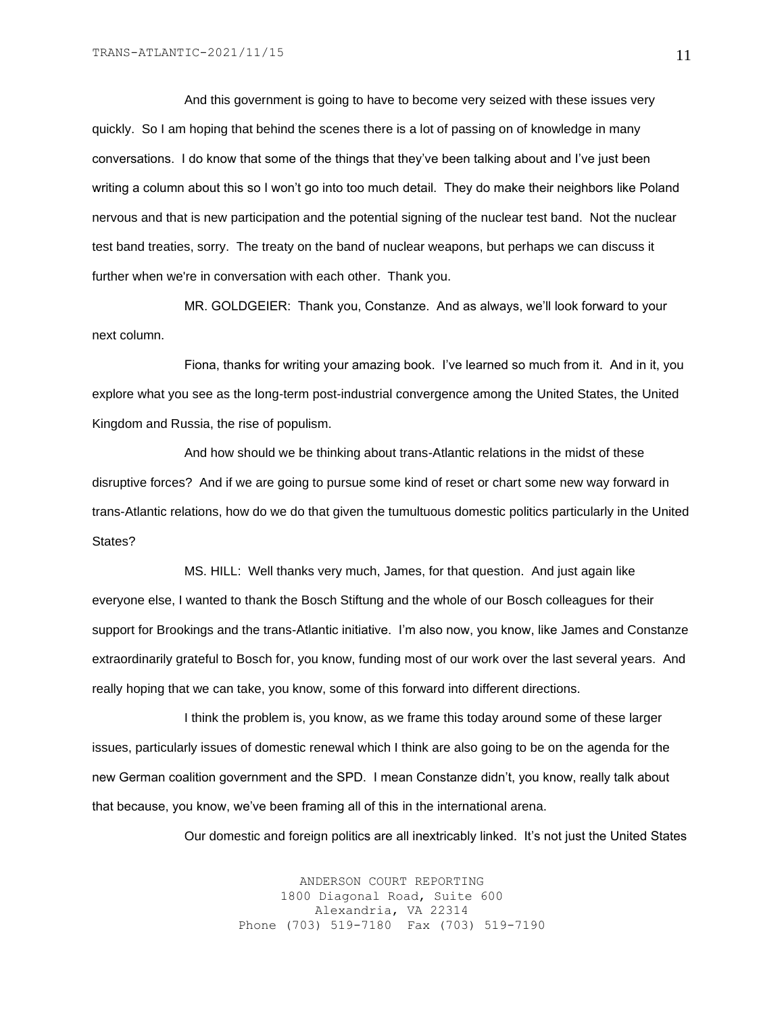And this government is going to have to become very seized with these issues very quickly. So I am hoping that behind the scenes there is a lot of passing on of knowledge in many conversations. I do know that some of the things that they've been talking about and I've just been writing a column about this so I won't go into too much detail. They do make their neighbors like Poland nervous and that is new participation and the potential signing of the nuclear test band. Not the nuclear test band treaties, sorry. The treaty on the band of nuclear weapons, but perhaps we can discuss it further when we're in conversation with each other. Thank you.

MR. GOLDGEIER: Thank you, Constanze. And as always, we'll look forward to your next column.

Fiona, thanks for writing your amazing book. I've learned so much from it. And in it, you explore what you see as the long-term post-industrial convergence among the United States, the United Kingdom and Russia, the rise of populism.

And how should we be thinking about trans-Atlantic relations in the midst of these disruptive forces? And if we are going to pursue some kind of reset or chart some new way forward in trans-Atlantic relations, how do we do that given the tumultuous domestic politics particularly in the United States?

MS. HILL: Well thanks very much, James, for that question. And just again like everyone else, I wanted to thank the Bosch Stiftung and the whole of our Bosch colleagues for their support for Brookings and the trans-Atlantic initiative. I'm also now, you know, like James and Constanze extraordinarily grateful to Bosch for, you know, funding most of our work over the last several years. And really hoping that we can take, you know, some of this forward into different directions.

I think the problem is, you know, as we frame this today around some of these larger issues, particularly issues of domestic renewal which I think are also going to be on the agenda for the new German coalition government and the SPD. I mean Constanze didn't, you know, really talk about that because, you know, we've been framing all of this in the international arena.

Our domestic and foreign politics are all inextricably linked. It's not just the United States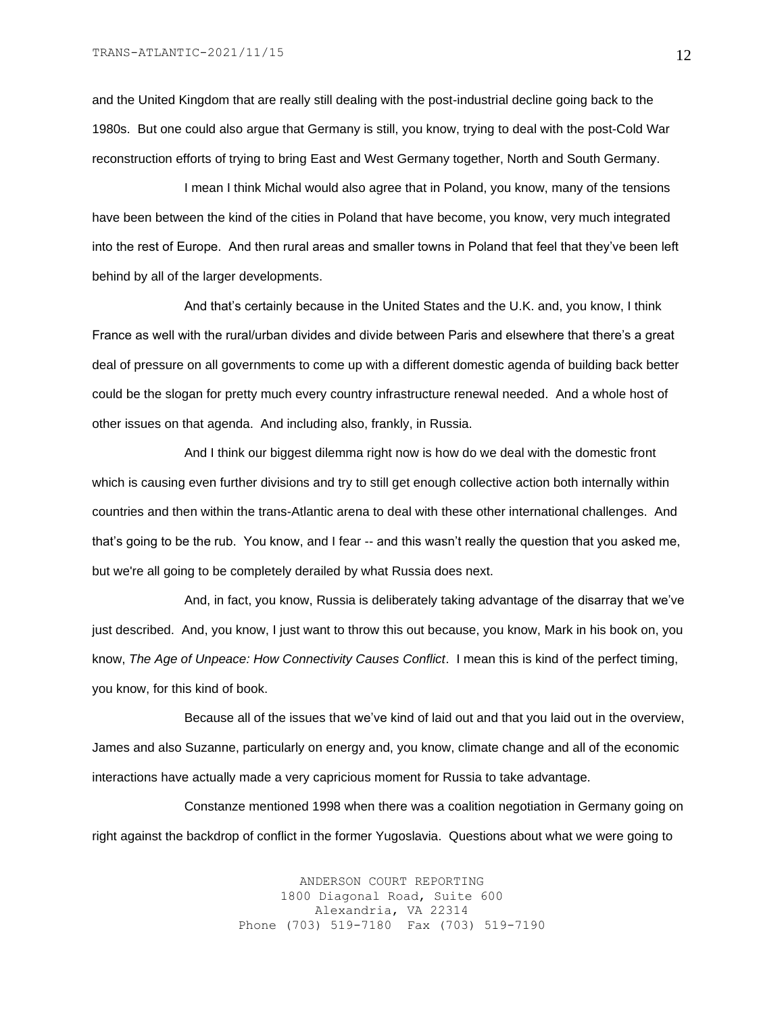and the United Kingdom that are really still dealing with the post-industrial decline going back to the 1980s. But one could also argue that Germany is still, you know, trying to deal with the post-Cold War reconstruction efforts of trying to bring East and West Germany together, North and South Germany.

I mean I think Michal would also agree that in Poland, you know, many of the tensions have been between the kind of the cities in Poland that have become, you know, very much integrated into the rest of Europe. And then rural areas and smaller towns in Poland that feel that they've been left behind by all of the larger developments.

And that's certainly because in the United States and the U.K. and, you know, I think France as well with the rural/urban divides and divide between Paris and elsewhere that there's a great deal of pressure on all governments to come up with a different domestic agenda of building back better could be the slogan for pretty much every country infrastructure renewal needed. And a whole host of other issues on that agenda. And including also, frankly, in Russia.

And I think our biggest dilemma right now is how do we deal with the domestic front which is causing even further divisions and try to still get enough collective action both internally within countries and then within the trans-Atlantic arena to deal with these other international challenges. And that's going to be the rub. You know, and I fear -- and this wasn't really the question that you asked me, but we're all going to be completely derailed by what Russia does next.

And, in fact, you know, Russia is deliberately taking advantage of the disarray that we've just described. And, you know, I just want to throw this out because, you know, Mark in his book on, you know, *The Age of Unpeace: How Connectivity Causes Conflict*. I mean this is kind of the perfect timing, you know, for this kind of book.

Because all of the issues that we've kind of laid out and that you laid out in the overview, James and also Suzanne, particularly on energy and, you know, climate change and all of the economic interactions have actually made a very capricious moment for Russia to take advantage.

Constanze mentioned 1998 when there was a coalition negotiation in Germany going on right against the backdrop of conflict in the former Yugoslavia. Questions about what we were going to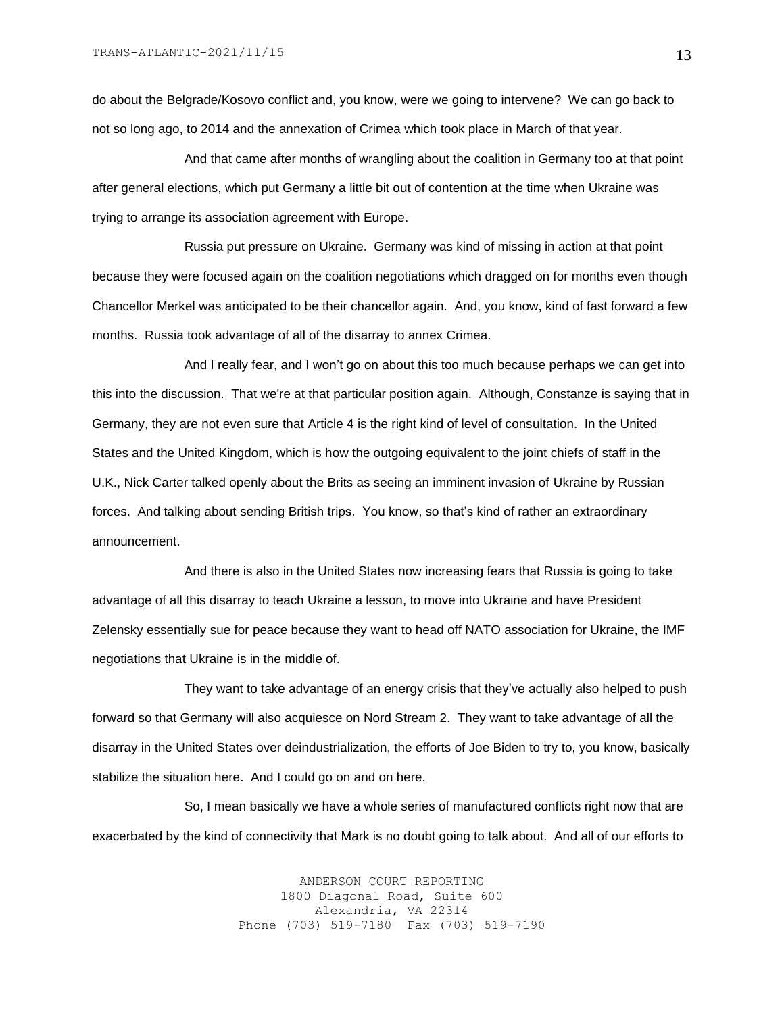do about the Belgrade/Kosovo conflict and, you know, were we going to intervene? We can go back to not so long ago, to 2014 and the annexation of Crimea which took place in March of that year.

And that came after months of wrangling about the coalition in Germany too at that point after general elections, which put Germany a little bit out of contention at the time when Ukraine was trying to arrange its association agreement with Europe.

Russia put pressure on Ukraine. Germany was kind of missing in action at that point because they were focused again on the coalition negotiations which dragged on for months even though Chancellor Merkel was anticipated to be their chancellor again. And, you know, kind of fast forward a few months. Russia took advantage of all of the disarray to annex Crimea.

And I really fear, and I won't go on about this too much because perhaps we can get into this into the discussion. That we're at that particular position again. Although, Constanze is saying that in Germany, they are not even sure that Article 4 is the right kind of level of consultation. In the United States and the United Kingdom, which is how the outgoing equivalent to the joint chiefs of staff in the U.K., Nick Carter talked openly about the Brits as seeing an imminent invasion of Ukraine by Russian forces. And talking about sending British trips. You know, so that's kind of rather an extraordinary announcement.

And there is also in the United States now increasing fears that Russia is going to take advantage of all this disarray to teach Ukraine a lesson, to move into Ukraine and have President Zelensky essentially sue for peace because they want to head off NATO association for Ukraine, the IMF negotiations that Ukraine is in the middle of.

They want to take advantage of an energy crisis that they've actually also helped to push forward so that Germany will also acquiesce on Nord Stream 2. They want to take advantage of all the disarray in the United States over deindustrialization, the efforts of Joe Biden to try to, you know, basically stabilize the situation here. And I could go on and on here.

So, I mean basically we have a whole series of manufactured conflicts right now that are exacerbated by the kind of connectivity that Mark is no doubt going to talk about. And all of our efforts to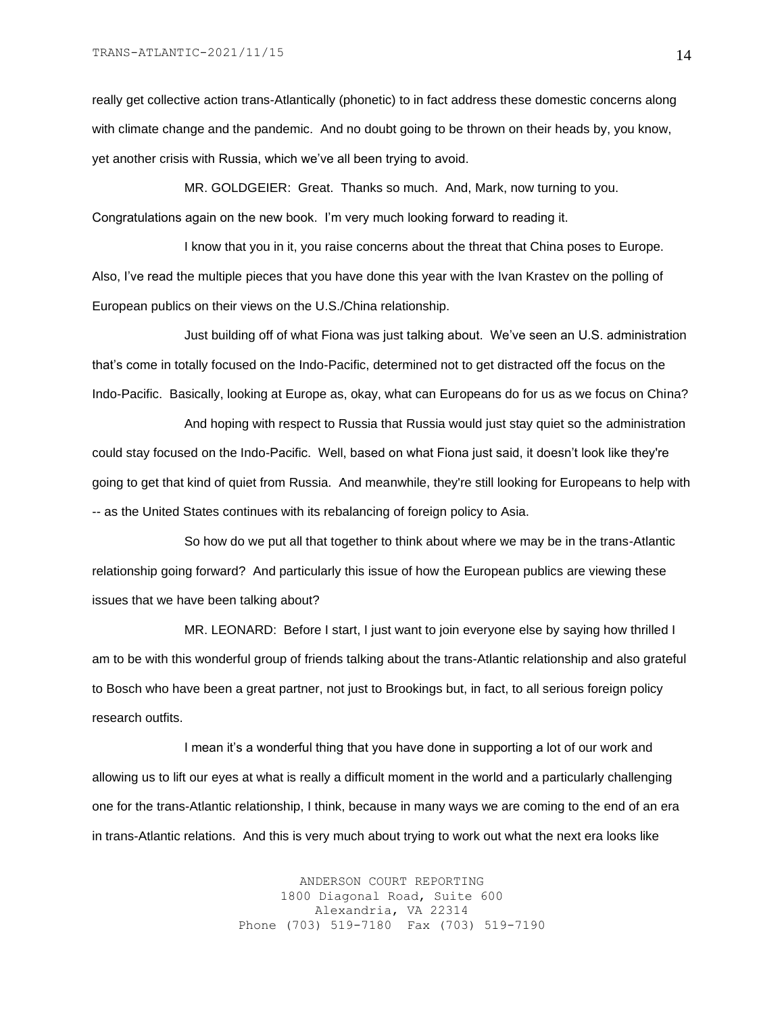really get collective action trans-Atlantically (phonetic) to in fact address these domestic concerns along with climate change and the pandemic. And no doubt going to be thrown on their heads by, you know, yet another crisis with Russia, which we've all been trying to avoid.

MR. GOLDGEIER: Great. Thanks so much. And, Mark, now turning to you. Congratulations again on the new book. I'm very much looking forward to reading it.

I know that you in it, you raise concerns about the threat that China poses to Europe. Also, I've read the multiple pieces that you have done this year with the Ivan Krastev on the polling of European publics on their views on the U.S./China relationship.

Just building off of what Fiona was just talking about. We've seen an U.S. administration that's come in totally focused on the Indo-Pacific, determined not to get distracted off the focus on the Indo-Pacific. Basically, looking at Europe as, okay, what can Europeans do for us as we focus on China?

And hoping with respect to Russia that Russia would just stay quiet so the administration could stay focused on the Indo-Pacific. Well, based on what Fiona just said, it doesn't look like they're going to get that kind of quiet from Russia. And meanwhile, they're still looking for Europeans to help with -- as the United States continues with its rebalancing of foreign policy to Asia.

So how do we put all that together to think about where we may be in the trans-Atlantic relationship going forward? And particularly this issue of how the European publics are viewing these issues that we have been talking about?

MR. LEONARD: Before I start, I just want to join everyone else by saying how thrilled I am to be with this wonderful group of friends talking about the trans-Atlantic relationship and also grateful to Bosch who have been a great partner, not just to Brookings but, in fact, to all serious foreign policy research outfits.

I mean it's a wonderful thing that you have done in supporting a lot of our work and allowing us to lift our eyes at what is really a difficult moment in the world and a particularly challenging one for the trans-Atlantic relationship, I think, because in many ways we are coming to the end of an era in trans-Atlantic relations. And this is very much about trying to work out what the next era looks like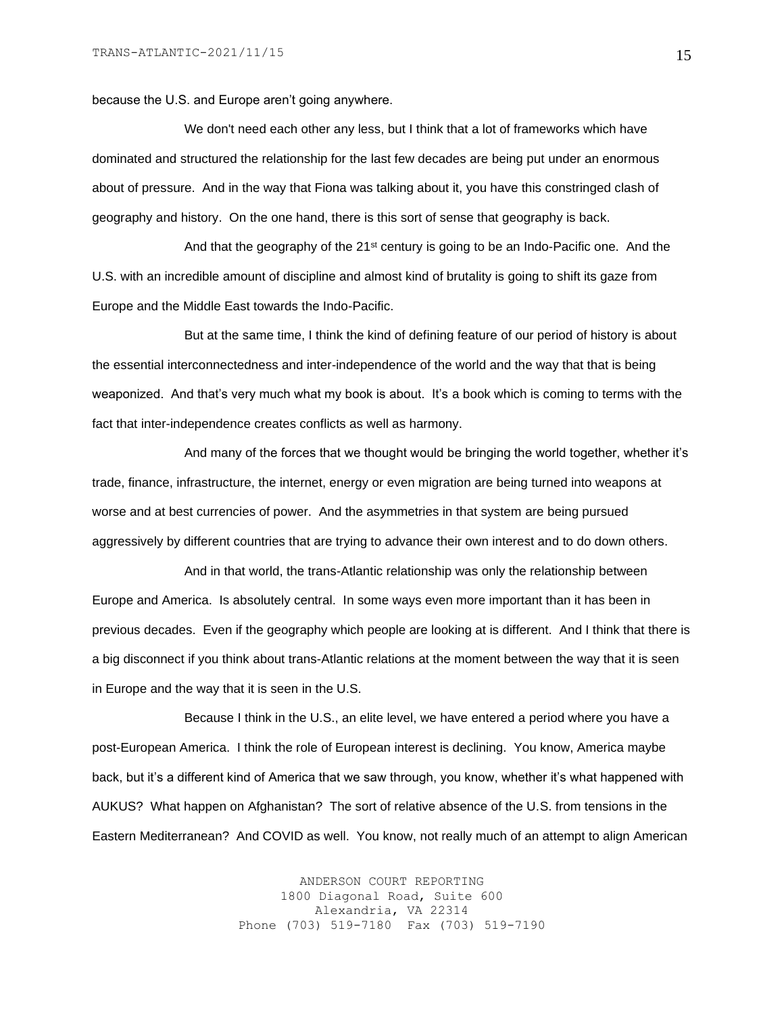because the U.S. and Europe aren't going anywhere.

We don't need each other any less, but I think that a lot of frameworks which have dominated and structured the relationship for the last few decades are being put under an enormous about of pressure. And in the way that Fiona was talking about it, you have this constringed clash of geography and history. On the one hand, there is this sort of sense that geography is back.

And that the geography of the  $21^{st}$  century is going to be an Indo-Pacific one. And the U.S. with an incredible amount of discipline and almost kind of brutality is going to shift its gaze from Europe and the Middle East towards the Indo-Pacific.

But at the same time, I think the kind of defining feature of our period of history is about the essential interconnectedness and inter-independence of the world and the way that that is being weaponized. And that's very much what my book is about. It's a book which is coming to terms with the fact that inter-independence creates conflicts as well as harmony.

And many of the forces that we thought would be bringing the world together, whether it's trade, finance, infrastructure, the internet, energy or even migration are being turned into weapons at worse and at best currencies of power. And the asymmetries in that system are being pursued aggressively by different countries that are trying to advance their own interest and to do down others.

And in that world, the trans-Atlantic relationship was only the relationship between Europe and America. Is absolutely central. In some ways even more important than it has been in previous decades. Even if the geography which people are looking at is different. And I think that there is a big disconnect if you think about trans-Atlantic relations at the moment between the way that it is seen in Europe and the way that it is seen in the U.S.

Because I think in the U.S., an elite level, we have entered a period where you have a post-European America. I think the role of European interest is declining. You know, America maybe back, but it's a different kind of America that we saw through, you know, whether it's what happened with AUKUS? What happen on Afghanistan? The sort of relative absence of the U.S. from tensions in the Eastern Mediterranean? And COVID as well. You know, not really much of an attempt to align American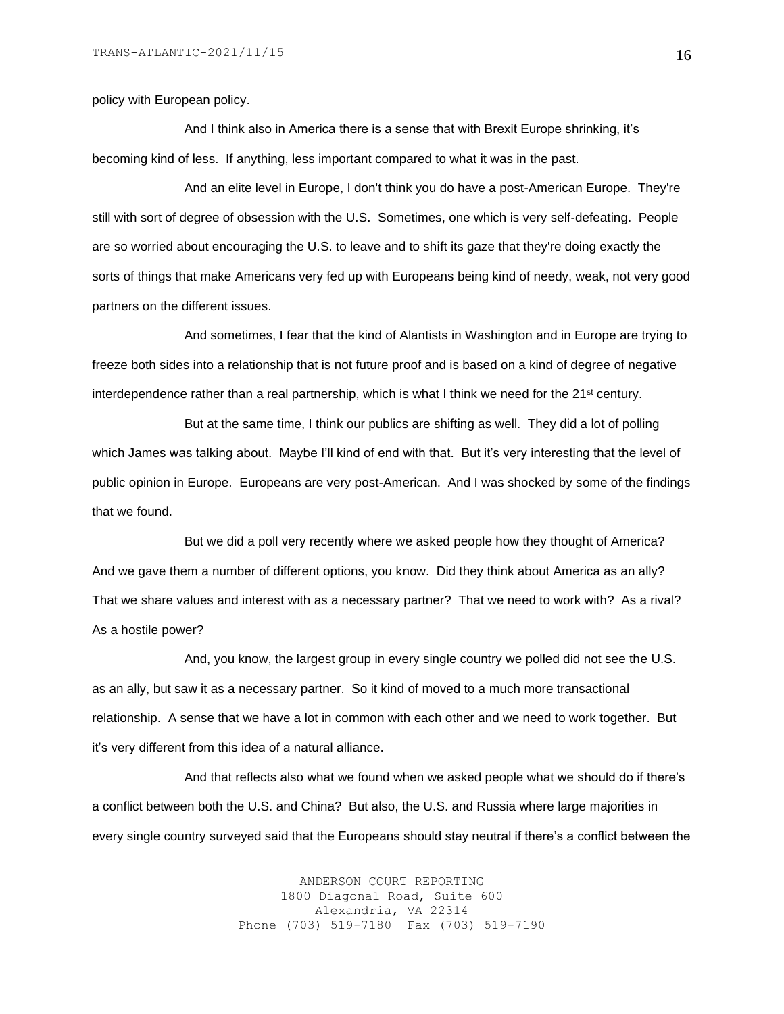policy with European policy.

And I think also in America there is a sense that with Brexit Europe shrinking, it's becoming kind of less. If anything, less important compared to what it was in the past.

And an elite level in Europe, I don't think you do have a post-American Europe. They're still with sort of degree of obsession with the U.S. Sometimes, one which is very self-defeating. People are so worried about encouraging the U.S. to leave and to shift its gaze that they're doing exactly the sorts of things that make Americans very fed up with Europeans being kind of needy, weak, not very good partners on the different issues.

And sometimes, I fear that the kind of Alantists in Washington and in Europe are trying to freeze both sides into a relationship that is not future proof and is based on a kind of degree of negative interdependence rather than a real partnership, which is what I think we need for the  $21<sup>st</sup>$  century.

But at the same time, I think our publics are shifting as well. They did a lot of polling which James was talking about. Maybe I'll kind of end with that. But it's very interesting that the level of public opinion in Europe. Europeans are very post-American. And I was shocked by some of the findings that we found.

But we did a poll very recently where we asked people how they thought of America? And we gave them a number of different options, you know. Did they think about America as an ally? That we share values and interest with as a necessary partner? That we need to work with? As a rival? As a hostile power?

And, you know, the largest group in every single country we polled did not see the U.S. as an ally, but saw it as a necessary partner. So it kind of moved to a much more transactional relationship. A sense that we have a lot in common with each other and we need to work together. But it's very different from this idea of a natural alliance.

And that reflects also what we found when we asked people what we should do if there's a conflict between both the U.S. and China? But also, the U.S. and Russia where large majorities in every single country surveyed said that the Europeans should stay neutral if there's a conflict between the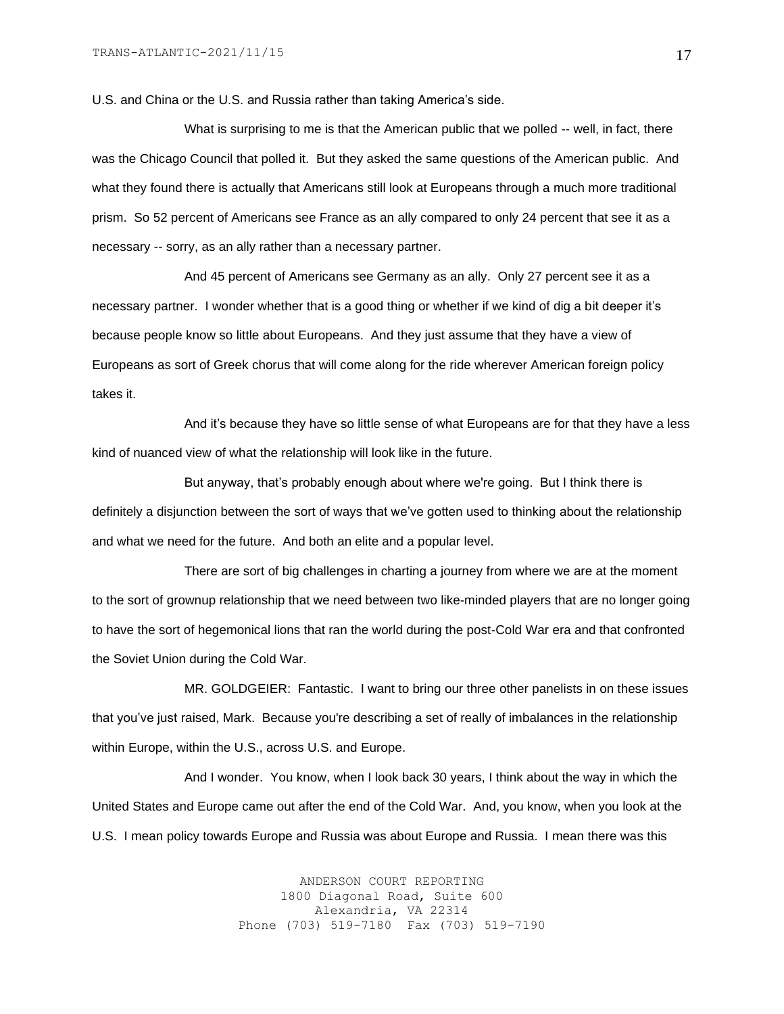U.S. and China or the U.S. and Russia rather than taking America's side.

What is surprising to me is that the American public that we polled -- well, in fact, there was the Chicago Council that polled it. But they asked the same questions of the American public. And what they found there is actually that Americans still look at Europeans through a much more traditional prism. So 52 percent of Americans see France as an ally compared to only 24 percent that see it as a necessary -- sorry, as an ally rather than a necessary partner.

And 45 percent of Americans see Germany as an ally. Only 27 percent see it as a necessary partner. I wonder whether that is a good thing or whether if we kind of dig a bit deeper it's because people know so little about Europeans. And they just assume that they have a view of Europeans as sort of Greek chorus that will come along for the ride wherever American foreign policy takes it.

And it's because they have so little sense of what Europeans are for that they have a less kind of nuanced view of what the relationship will look like in the future.

But anyway, that's probably enough about where we're going. But I think there is definitely a disjunction between the sort of ways that we've gotten used to thinking about the relationship and what we need for the future. And both an elite and a popular level.

There are sort of big challenges in charting a journey from where we are at the moment to the sort of grownup relationship that we need between two like-minded players that are no longer going to have the sort of hegemonical lions that ran the world during the post-Cold War era and that confronted the Soviet Union during the Cold War.

MR. GOLDGEIER: Fantastic. I want to bring our three other panelists in on these issues that you've just raised, Mark. Because you're describing a set of really of imbalances in the relationship within Europe, within the U.S., across U.S. and Europe.

And I wonder. You know, when I look back 30 years, I think about the way in which the United States and Europe came out after the end of the Cold War. And, you know, when you look at the U.S. I mean policy towards Europe and Russia was about Europe and Russia. I mean there was this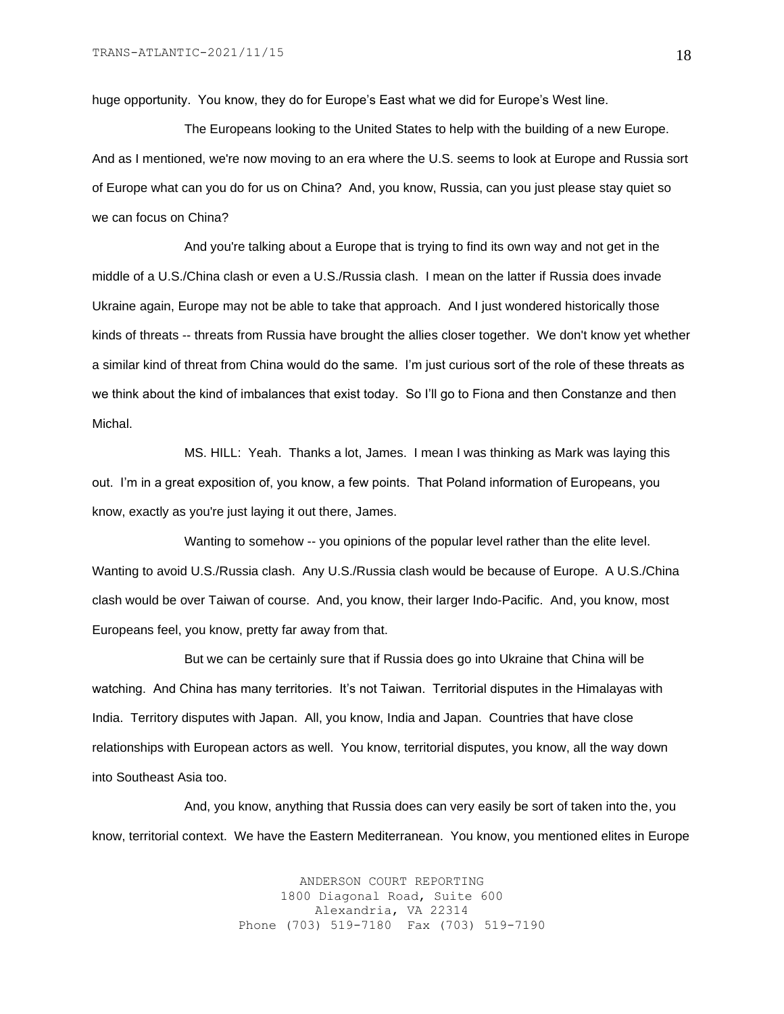huge opportunity. You know, they do for Europe's East what we did for Europe's West line.

The Europeans looking to the United States to help with the building of a new Europe. And as I mentioned, we're now moving to an era where the U.S. seems to look at Europe and Russia sort of Europe what can you do for us on China? And, you know, Russia, can you just please stay quiet so we can focus on China?

And you're talking about a Europe that is trying to find its own way and not get in the middle of a U.S./China clash or even a U.S./Russia clash. I mean on the latter if Russia does invade Ukraine again, Europe may not be able to take that approach. And I just wondered historically those kinds of threats -- threats from Russia have brought the allies closer together. We don't know yet whether a similar kind of threat from China would do the same. I'm just curious sort of the role of these threats as we think about the kind of imbalances that exist today. So I'll go to Fiona and then Constanze and then Michal.

MS. HILL: Yeah. Thanks a lot, James. I mean I was thinking as Mark was laying this out. I'm in a great exposition of, you know, a few points. That Poland information of Europeans, you know, exactly as you're just laying it out there, James.

Wanting to somehow -- you opinions of the popular level rather than the elite level. Wanting to avoid U.S./Russia clash. Any U.S./Russia clash would be because of Europe. A U.S./China clash would be over Taiwan of course. And, you know, their larger Indo-Pacific. And, you know, most Europeans feel, you know, pretty far away from that.

But we can be certainly sure that if Russia does go into Ukraine that China will be watching. And China has many territories. It's not Taiwan. Territorial disputes in the Himalayas with India. Territory disputes with Japan. All, you know, India and Japan. Countries that have close relationships with European actors as well. You know, territorial disputes, you know, all the way down into Southeast Asia too.

And, you know, anything that Russia does can very easily be sort of taken into the, you know, territorial context. We have the Eastern Mediterranean. You know, you mentioned elites in Europe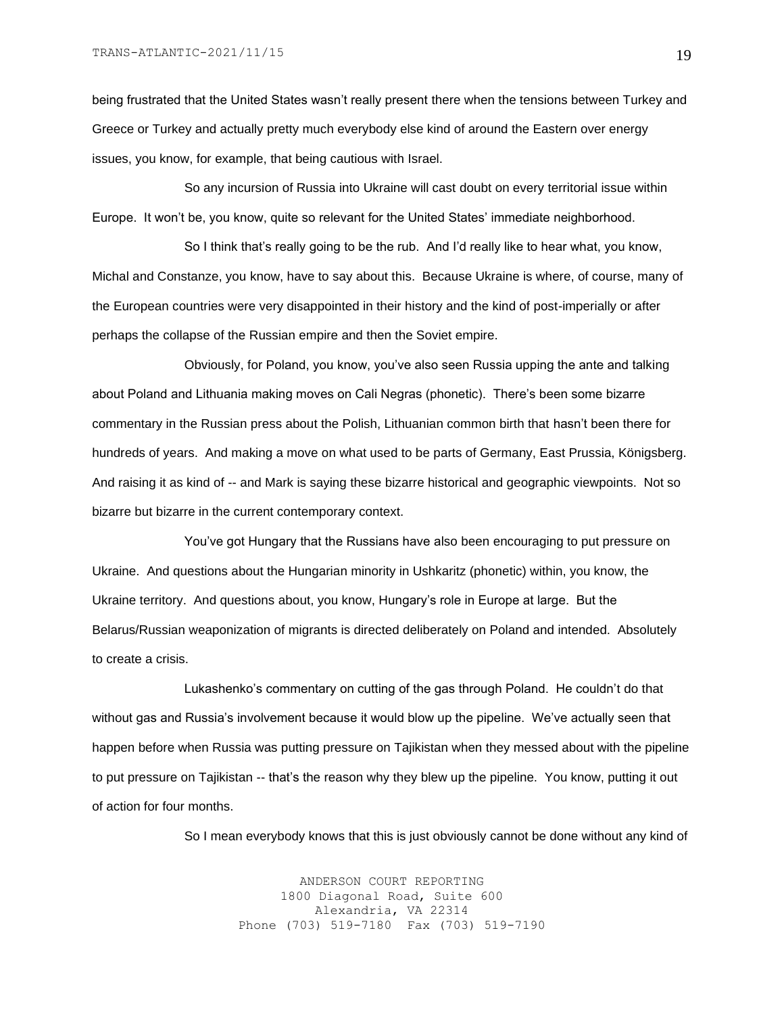being frustrated that the United States wasn't really present there when the tensions between Turkey and Greece or Turkey and actually pretty much everybody else kind of around the Eastern over energy issues, you know, for example, that being cautious with Israel.

So any incursion of Russia into Ukraine will cast doubt on every territorial issue within Europe. It won't be, you know, quite so relevant for the United States' immediate neighborhood.

So I think that's really going to be the rub. And I'd really like to hear what, you know, Michal and Constanze, you know, have to say about this. Because Ukraine is where, of course, many of the European countries were very disappointed in their history and the kind of post-imperially or after perhaps the collapse of the Russian empire and then the Soviet empire.

Obviously, for Poland, you know, you've also seen Russia upping the ante and talking about Poland and Lithuania making moves on Cali Negras (phonetic). There's been some bizarre commentary in the Russian press about the Polish, Lithuanian common birth that hasn't been there for hundreds of years. And making a move on what used to be parts of Germany, East Prussia, Königsberg. And raising it as kind of -- and Mark is saying these bizarre historical and geographic viewpoints. Not so bizarre but bizarre in the current contemporary context.

You've got Hungary that the Russians have also been encouraging to put pressure on Ukraine. And questions about the Hungarian minority in Ushkaritz (phonetic) within, you know, the Ukraine territory. And questions about, you know, Hungary's role in Europe at large. But the Belarus/Russian weaponization of migrants is directed deliberately on Poland and intended. Absolutely to create a crisis.

Lukashenko's commentary on cutting of the gas through Poland. He couldn't do that without gas and Russia's involvement because it would blow up the pipeline. We've actually seen that happen before when Russia was putting pressure on Tajikistan when they messed about with the pipeline to put pressure on Tajikistan -- that's the reason why they blew up the pipeline. You know, putting it out of action for four months.

So I mean everybody knows that this is just obviously cannot be done without any kind of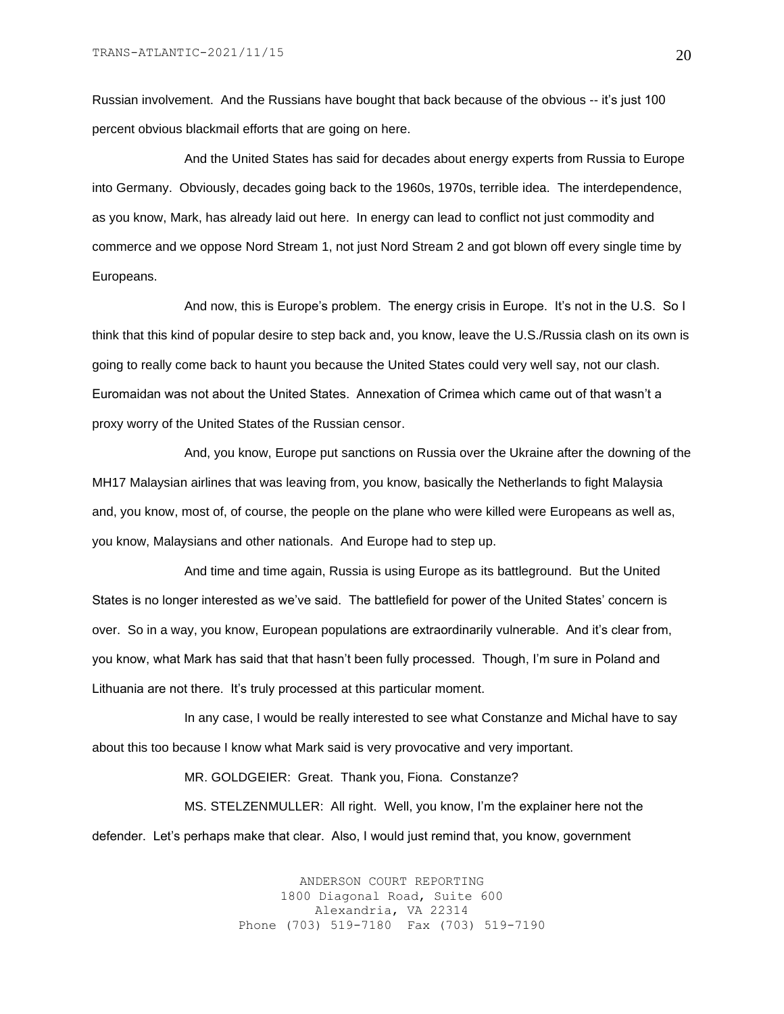Russian involvement. And the Russians have bought that back because of the obvious -- it's just 100 percent obvious blackmail efforts that are going on here.

And the United States has said for decades about energy experts from Russia to Europe into Germany. Obviously, decades going back to the 1960s, 1970s, terrible idea. The interdependence, as you know, Mark, has already laid out here. In energy can lead to conflict not just commodity and commerce and we oppose Nord Stream 1, not just Nord Stream 2 and got blown off every single time by Europeans.

And now, this is Europe's problem. The energy crisis in Europe. It's not in the U.S. So I think that this kind of popular desire to step back and, you know, leave the U.S./Russia clash on its own is going to really come back to haunt you because the United States could very well say, not our clash. Euromaidan was not about the United States. Annexation of Crimea which came out of that wasn't a proxy worry of the United States of the Russian censor.

And, you know, Europe put sanctions on Russia over the Ukraine after the downing of the MH17 Malaysian airlines that was leaving from, you know, basically the Netherlands to fight Malaysia and, you know, most of, of course, the people on the plane who were killed were Europeans as well as, you know, Malaysians and other nationals. And Europe had to step up.

And time and time again, Russia is using Europe as its battleground. But the United States is no longer interested as we've said. The battlefield for power of the United States' concern is over. So in a way, you know, European populations are extraordinarily vulnerable. And it's clear from, you know, what Mark has said that that hasn't been fully processed. Though, I'm sure in Poland and Lithuania are not there. It's truly processed at this particular moment.

In any case, I would be really interested to see what Constanze and Michal have to say about this too because I know what Mark said is very provocative and very important.

MR. GOLDGEIER: Great. Thank you, Fiona. Constanze?

MS. STELZENMULLER: All right. Well, you know, I'm the explainer here not the defender. Let's perhaps make that clear. Also, I would just remind that, you know, government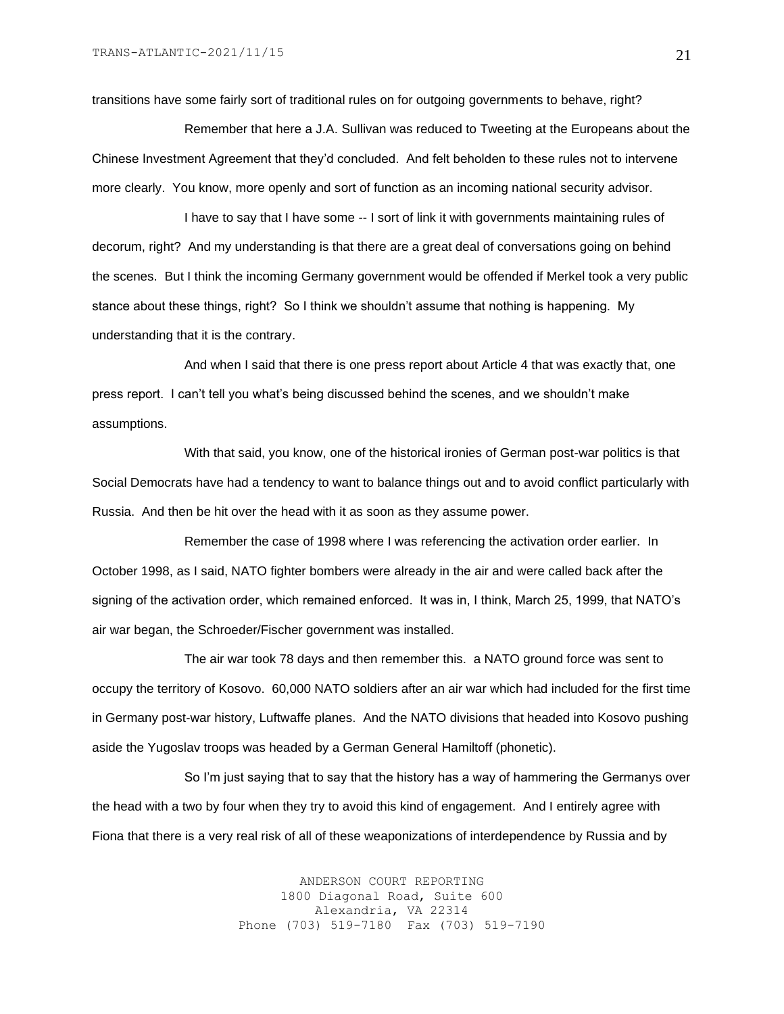transitions have some fairly sort of traditional rules on for outgoing governments to behave, right?

Remember that here a J.A. Sullivan was reduced to Tweeting at the Europeans about the Chinese Investment Agreement that they'd concluded. And felt beholden to these rules not to intervene more clearly. You know, more openly and sort of function as an incoming national security advisor.

I have to say that I have some -- I sort of link it with governments maintaining rules of decorum, right? And my understanding is that there are a great deal of conversations going on behind the scenes. But I think the incoming Germany government would be offended if Merkel took a very public stance about these things, right? So I think we shouldn't assume that nothing is happening. My understanding that it is the contrary.

And when I said that there is one press report about Article 4 that was exactly that, one press report. I can't tell you what's being discussed behind the scenes, and we shouldn't make assumptions.

With that said, you know, one of the historical ironies of German post-war politics is that Social Democrats have had a tendency to want to balance things out and to avoid conflict particularly with Russia. And then be hit over the head with it as soon as they assume power.

Remember the case of 1998 where I was referencing the activation order earlier. In October 1998, as I said, NATO fighter bombers were already in the air and were called back after the signing of the activation order, which remained enforced. It was in, I think, March 25, 1999, that NATO's air war began, the Schroeder/Fischer government was installed.

The air war took 78 days and then remember this. a NATO ground force was sent to occupy the territory of Kosovo. 60,000 NATO soldiers after an air war which had included for the first time in Germany post-war history, Luftwaffe planes. And the NATO divisions that headed into Kosovo pushing aside the Yugoslav troops was headed by a German General Hamiltoff (phonetic).

So I'm just saying that to say that the history has a way of hammering the Germanys over the head with a two by four when they try to avoid this kind of engagement. And I entirely agree with Fiona that there is a very real risk of all of these weaponizations of interdependence by Russia and by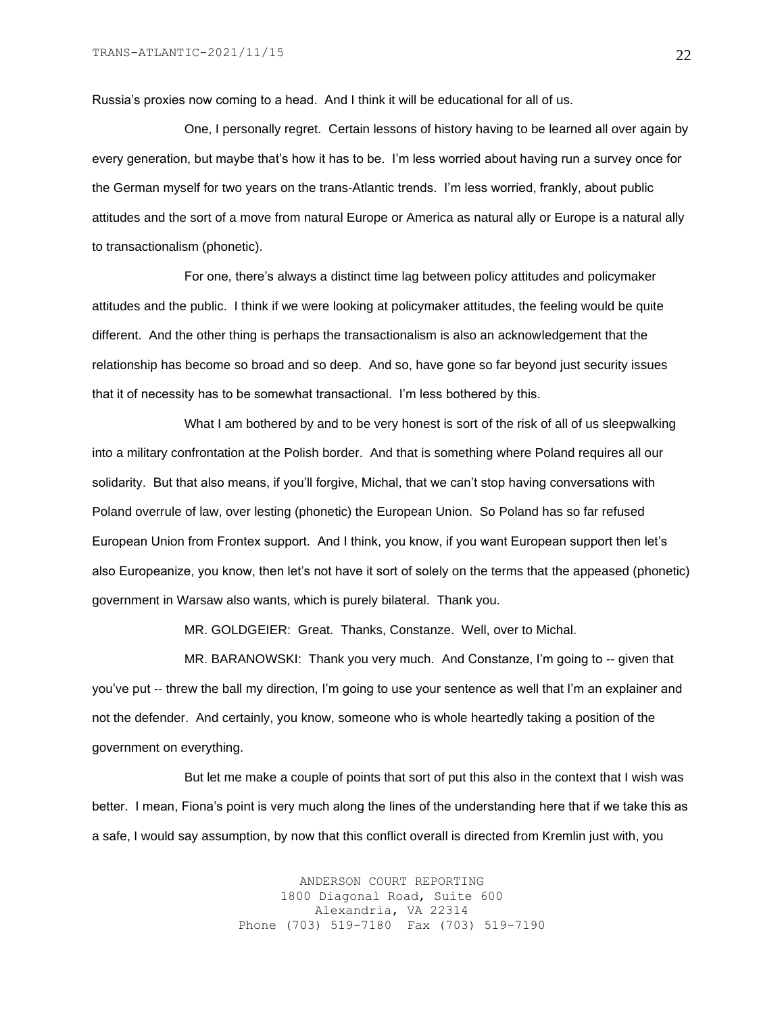Russia's proxies now coming to a head. And I think it will be educational for all of us.

One, I personally regret. Certain lessons of history having to be learned all over again by every generation, but maybe that's how it has to be. I'm less worried about having run a survey once for the German myself for two years on the trans-Atlantic trends. I'm less worried, frankly, about public attitudes and the sort of a move from natural Europe or America as natural ally or Europe is a natural ally to transactionalism (phonetic).

For one, there's always a distinct time lag between policy attitudes and policymaker attitudes and the public. I think if we were looking at policymaker attitudes, the feeling would be quite different. And the other thing is perhaps the transactionalism is also an acknowledgement that the relationship has become so broad and so deep. And so, have gone so far beyond just security issues that it of necessity has to be somewhat transactional. I'm less bothered by this.

What I am bothered by and to be very honest is sort of the risk of all of us sleepwalking into a military confrontation at the Polish border. And that is something where Poland requires all our solidarity. But that also means, if you'll forgive, Michal, that we can't stop having conversations with Poland overrule of law, over lesting (phonetic) the European Union. So Poland has so far refused European Union from Frontex support. And I think, you know, if you want European support then let's also Europeanize, you know, then let's not have it sort of solely on the terms that the appeased (phonetic) government in Warsaw also wants, which is purely bilateral. Thank you.

MR. GOLDGEIER: Great. Thanks, Constanze. Well, over to Michal.

MR. BARANOWSKI: Thank you very much. And Constanze, I'm going to -- given that you've put -- threw the ball my direction, I'm going to use your sentence as well that I'm an explainer and not the defender. And certainly, you know, someone who is whole heartedly taking a position of the government on everything.

But let me make a couple of points that sort of put this also in the context that I wish was better. I mean, Fiona's point is very much along the lines of the understanding here that if we take this as a safe, I would say assumption, by now that this conflict overall is directed from Kremlin just with, you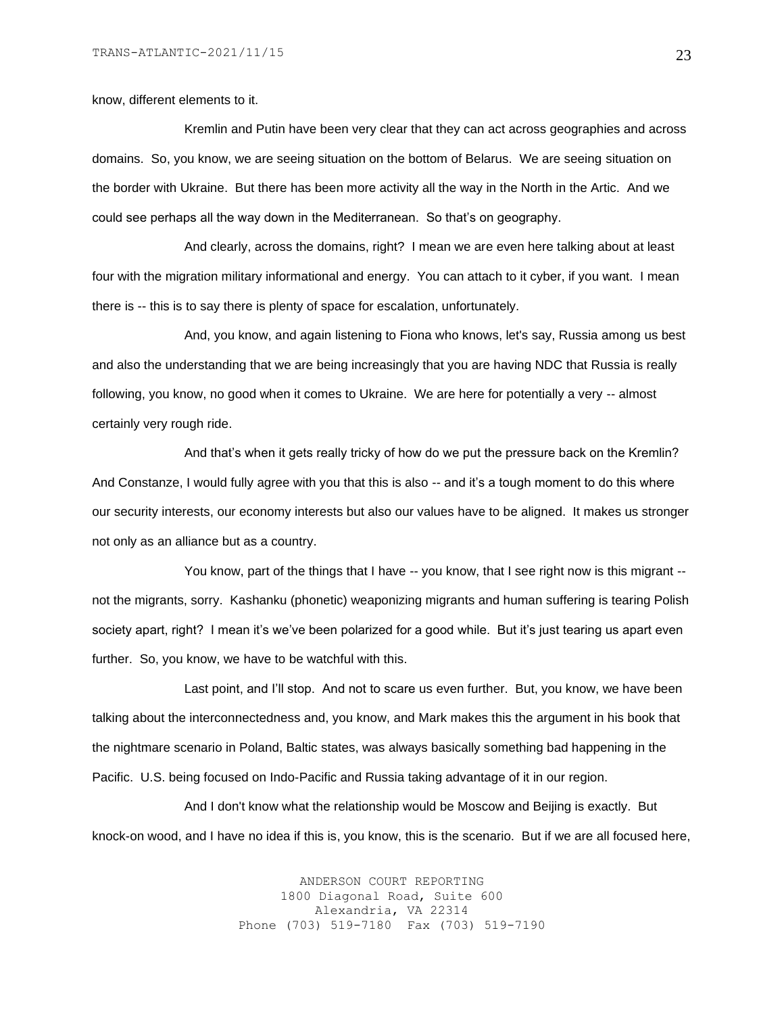know, different elements to it.

Kremlin and Putin have been very clear that they can act across geographies and across domains. So, you know, we are seeing situation on the bottom of Belarus. We are seeing situation on the border with Ukraine. But there has been more activity all the way in the North in the Artic. And we could see perhaps all the way down in the Mediterranean. So that's on geography.

And clearly, across the domains, right? I mean we are even here talking about at least four with the migration military informational and energy. You can attach to it cyber, if you want. I mean there is -- this is to say there is plenty of space for escalation, unfortunately.

And, you know, and again listening to Fiona who knows, let's say, Russia among us best and also the understanding that we are being increasingly that you are having NDC that Russia is really following, you know, no good when it comes to Ukraine. We are here for potentially a very -- almost certainly very rough ride.

And that's when it gets really tricky of how do we put the pressure back on the Kremlin? And Constanze, I would fully agree with you that this is also -- and it's a tough moment to do this where our security interests, our economy interests but also our values have to be aligned. It makes us stronger not only as an alliance but as a country.

You know, part of the things that I have -- you know, that I see right now is this migrant -not the migrants, sorry. Kashanku (phonetic) weaponizing migrants and human suffering is tearing Polish society apart, right? I mean it's we've been polarized for a good while. But it's just tearing us apart even further. So, you know, we have to be watchful with this.

Last point, and I'll stop. And not to scare us even further. But, you know, we have been talking about the interconnectedness and, you know, and Mark makes this the argument in his book that the nightmare scenario in Poland, Baltic states, was always basically something bad happening in the Pacific. U.S. being focused on Indo-Pacific and Russia taking advantage of it in our region.

And I don't know what the relationship would be Moscow and Beijing is exactly. But knock-on wood, and I have no idea if this is, you know, this is the scenario. But if we are all focused here,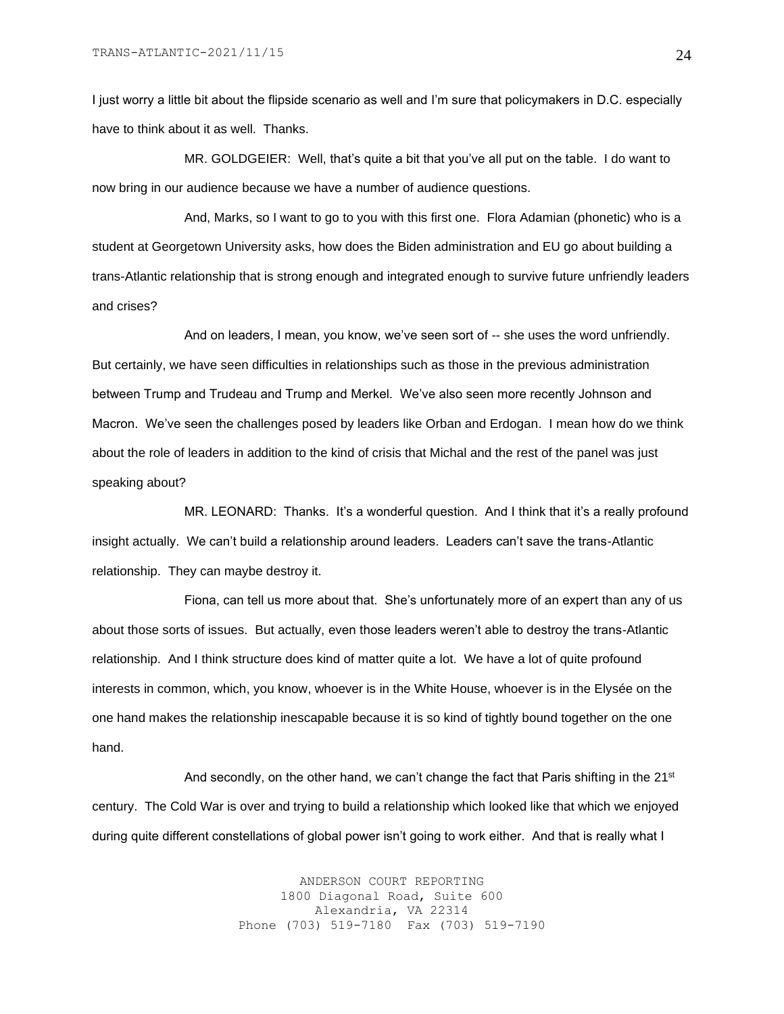I just worry a little bit about the flipside scenario as well and I'm sure that policymakers in D.C. especially have to think about it as well. Thanks.

MR. GOLDGEIER: Well, that's quite a bit that you've all put on the table. I do want to now bring in our audience because we have a number of audience questions.

And, Marks, so I want to go to you with this first one. Flora Adamian (phonetic) who is a student at Georgetown University asks, how does the Biden administration and EU go about building a trans-Atlantic relationship that is strong enough and integrated enough to survive future unfriendly leaders and crises?

And on leaders, I mean, you know, we've seen sort of -- she uses the word unfriendly. But certainly, we have seen difficulties in relationships such as those in the previous administration between Trump and Trudeau and Trump and Merkel. We've also seen more recently Johnson and Macron. We've seen the challenges posed by leaders like Orban and Erdogan. I mean how do we think about the role of leaders in addition to the kind of crisis that Michal and the rest of the panel was just speaking about?

MR. LEONARD: Thanks. It's a wonderful question. And I think that it's a really profound insight actually. We can't build a relationship around leaders. Leaders can't save the trans-Atlantic relationship. They can maybe destroy it.

Fiona, can tell us more about that. She's unfortunately more of an expert than any of us about those sorts of issues. But actually, even those leaders weren't able to destroy the trans-Atlantic relationship. And I think structure does kind of matter quite a lot. We have a lot of quite profound interests in common, which, you know, whoever is in the White House, whoever is in the Elysée on the one hand makes the relationship inescapable because it is so kind of tightly bound together on the one hand.

And secondly, on the other hand, we can't change the fact that Paris shifting in the  $21^{st}$ century. The Cold War is over and trying to build a relationship which looked like that which we enjoyed during quite different constellations of global power isn't going to work either. And that is really what I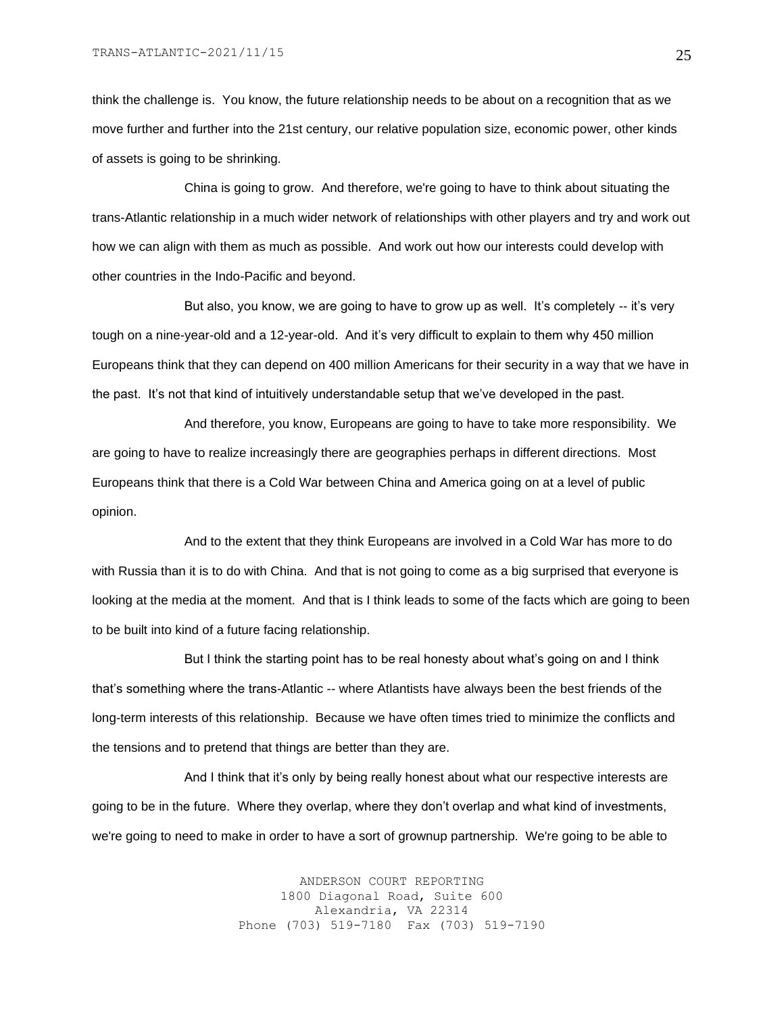think the challenge is. You know, the future relationship needs to be about on a recognition that as we move further and further into the 21st century, our relative population size, economic power, other kinds of assets is going to be shrinking.

China is going to grow. And therefore, we're going to have to think about situating the trans-Atlantic relationship in a much wider network of relationships with other players and try and work out how we can align with them as much as possible. And work out how our interests could develop with other countries in the Indo-Pacific and beyond.

But also, you know, we are going to have to grow up as well. It's completely -- it's very tough on a nine-year-old and a 12-year-old. And it's very difficult to explain to them why 450 million Europeans think that they can depend on 400 million Americans for their security in a way that we have in the past. It's not that kind of intuitively understandable setup that we've developed in the past.

And therefore, you know, Europeans are going to have to take more responsibility. We are going to have to realize increasingly there are geographies perhaps in different directions. Most Europeans think that there is a Cold War between China and America going on at a level of public opinion.

And to the extent that they think Europeans are involved in a Cold War has more to do with Russia than it is to do with China. And that is not going to come as a big surprised that everyone is looking at the media at the moment. And that is I think leads to some of the facts which are going to been to be built into kind of a future facing relationship.

But I think the starting point has to be real honesty about what's going on and I think that's something where the trans-Atlantic -- where Atlantists have always been the best friends of the long-term interests of this relationship. Because we have often times tried to minimize the conflicts and the tensions and to pretend that things are better than they are.

And I think that it's only by being really honest about what our respective interests are going to be in the future. Where they overlap, where they don't overlap and what kind of investments, we're going to need to make in order to have a sort of grownup partnership. We're going to be able to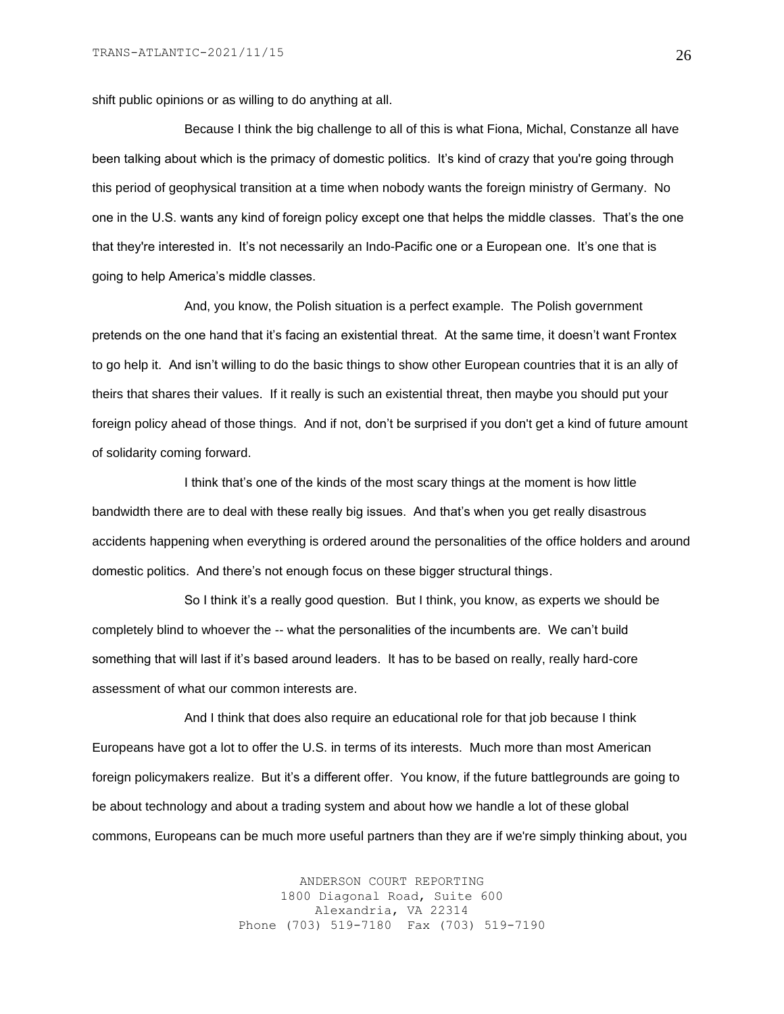shift public opinions or as willing to do anything at all.

Because I think the big challenge to all of this is what Fiona, Michal, Constanze all have been talking about which is the primacy of domestic politics. It's kind of crazy that you're going through this period of geophysical transition at a time when nobody wants the foreign ministry of Germany. No one in the U.S. wants any kind of foreign policy except one that helps the middle classes. That's the one that they're interested in. It's not necessarily an Indo-Pacific one or a European one. It's one that is going to help America's middle classes.

And, you know, the Polish situation is a perfect example. The Polish government pretends on the one hand that it's facing an existential threat. At the same time, it doesn't want Frontex to go help it. And isn't willing to do the basic things to show other European countries that it is an ally of theirs that shares their values. If it really is such an existential threat, then maybe you should put your foreign policy ahead of those things. And if not, don't be surprised if you don't get a kind of future amount of solidarity coming forward.

I think that's one of the kinds of the most scary things at the moment is how little bandwidth there are to deal with these really big issues. And that's when you get really disastrous accidents happening when everything is ordered around the personalities of the office holders and around domestic politics. And there's not enough focus on these bigger structural things.

So I think it's a really good question. But I think, you know, as experts we should be completely blind to whoever the -- what the personalities of the incumbents are. We can't build something that will last if it's based around leaders. It has to be based on really, really hard-core assessment of what our common interests are.

And I think that does also require an educational role for that job because I think Europeans have got a lot to offer the U.S. in terms of its interests. Much more than most American foreign policymakers realize. But it's a different offer. You know, if the future battlegrounds are going to be about technology and about a trading system and about how we handle a lot of these global commons, Europeans can be much more useful partners than they are if we're simply thinking about, you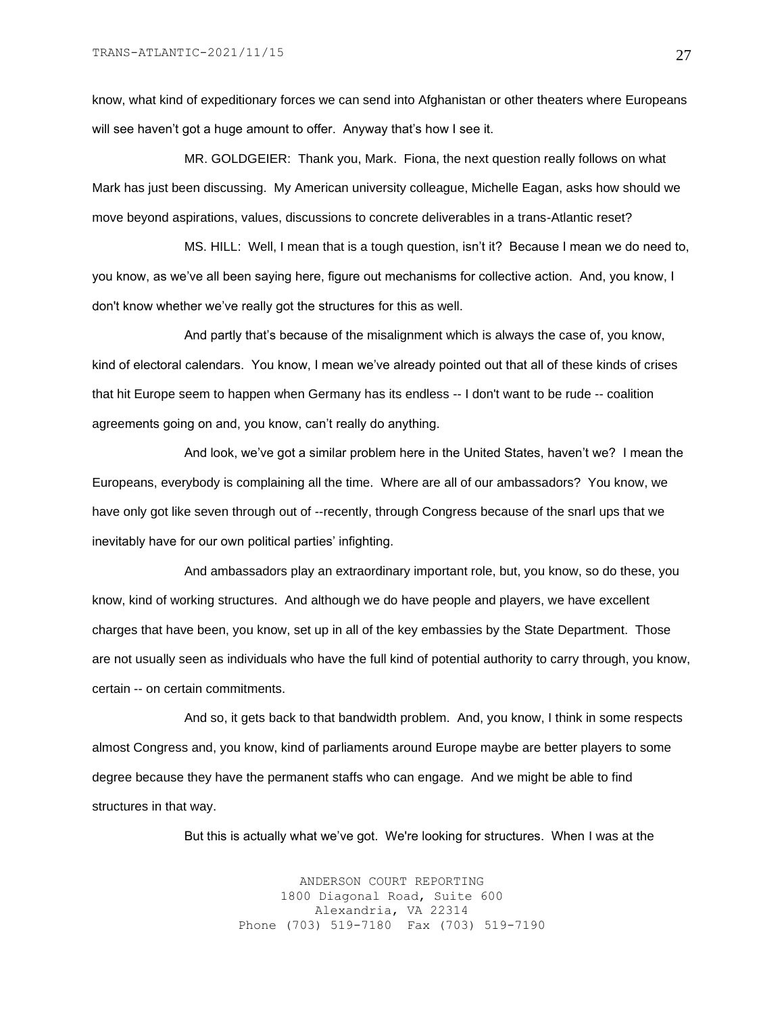know, what kind of expeditionary forces we can send into Afghanistan or other theaters where Europeans will see haven't got a huge amount to offer. Anyway that's how I see it.

MR. GOLDGEIER: Thank you, Mark. Fiona, the next question really follows on what Mark has just been discussing. My American university colleague, Michelle Eagan, asks how should we move beyond aspirations, values, discussions to concrete deliverables in a trans-Atlantic reset?

MS. HILL: Well, I mean that is a tough question, isn't it? Because I mean we do need to, you know, as we've all been saying here, figure out mechanisms for collective action. And, you know, I don't know whether we've really got the structures for this as well.

And partly that's because of the misalignment which is always the case of, you know, kind of electoral calendars. You know, I mean we've already pointed out that all of these kinds of crises that hit Europe seem to happen when Germany has its endless -- I don't want to be rude -- coalition agreements going on and, you know, can't really do anything.

And look, we've got a similar problem here in the United States, haven't we? I mean the Europeans, everybody is complaining all the time. Where are all of our ambassadors? You know, we have only got like seven through out of --recently, through Congress because of the snarl ups that we inevitably have for our own political parties' infighting.

And ambassadors play an extraordinary important role, but, you know, so do these, you know, kind of working structures. And although we do have people and players, we have excellent charges that have been, you know, set up in all of the key embassies by the State Department. Those are not usually seen as individuals who have the full kind of potential authority to carry through, you know, certain -- on certain commitments.

And so, it gets back to that bandwidth problem. And, you know, I think in some respects almost Congress and, you know, kind of parliaments around Europe maybe are better players to some degree because they have the permanent staffs who can engage. And we might be able to find structures in that way.

But this is actually what we've got. We're looking for structures. When I was at the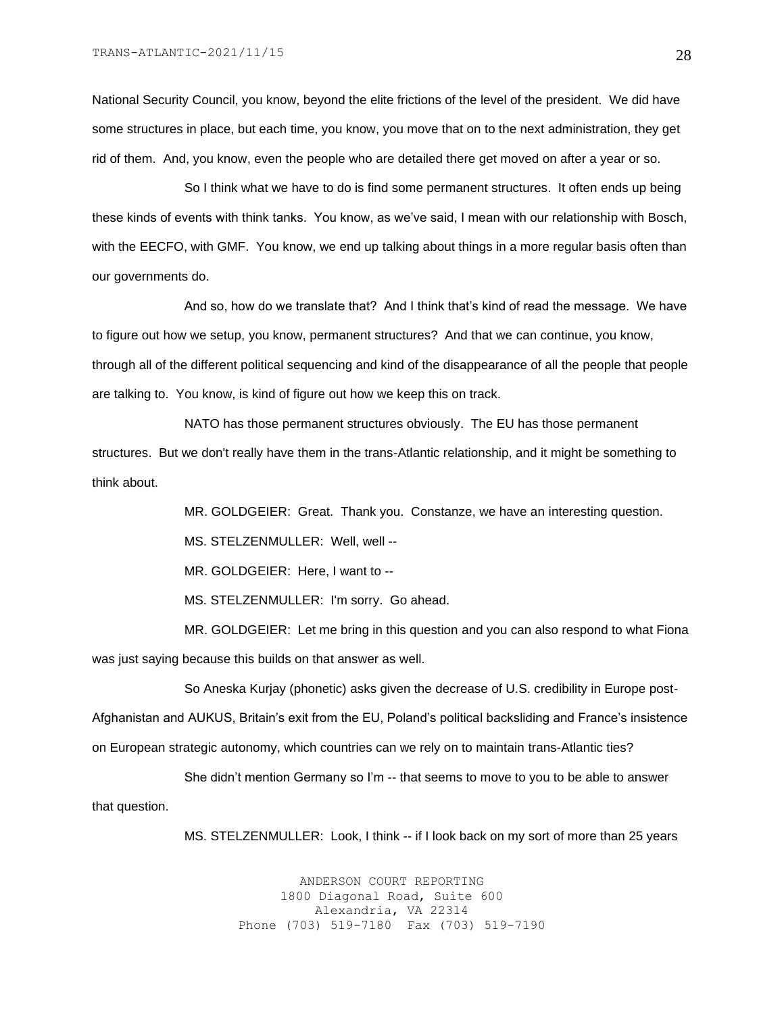National Security Council, you know, beyond the elite frictions of the level of the president. We did have some structures in place, but each time, you know, you move that on to the next administration, they get rid of them. And, you know, even the people who are detailed there get moved on after a year or so.

So I think what we have to do is find some permanent structures. It often ends up being these kinds of events with think tanks. You know, as we've said, I mean with our relationship with Bosch, with the EECFO, with GMF. You know, we end up talking about things in a more regular basis often than our governments do.

And so, how do we translate that? And I think that's kind of read the message. We have to figure out how we setup, you know, permanent structures? And that we can continue, you know, through all of the different political sequencing and kind of the disappearance of all the people that people are talking to. You know, is kind of figure out how we keep this on track.

NATO has those permanent structures obviously. The EU has those permanent structures. But we don't really have them in the trans-Atlantic relationship, and it might be something to think about.

MR. GOLDGEIER: Great. Thank you. Constanze, we have an interesting question.

MS. STELZENMULLER: Well, well --

MR. GOLDGEIER: Here, I want to --

MS. STELZENMULLER: I'm sorry. Go ahead.

MR. GOLDGEIER: Let me bring in this question and you can also respond to what Fiona was just saying because this builds on that answer as well.

So Aneska Kurjay (phonetic) asks given the decrease of U.S. credibility in Europe post-Afghanistan and AUKUS, Britain's exit from the EU, Poland's political backsliding and France's insistence on European strategic autonomy, which countries can we rely on to maintain trans-Atlantic ties?

She didn't mention Germany so I'm -- that seems to move to you to be able to answer that question.

MS. STELZENMULLER: Look, I think -- if I look back on my sort of more than 25 years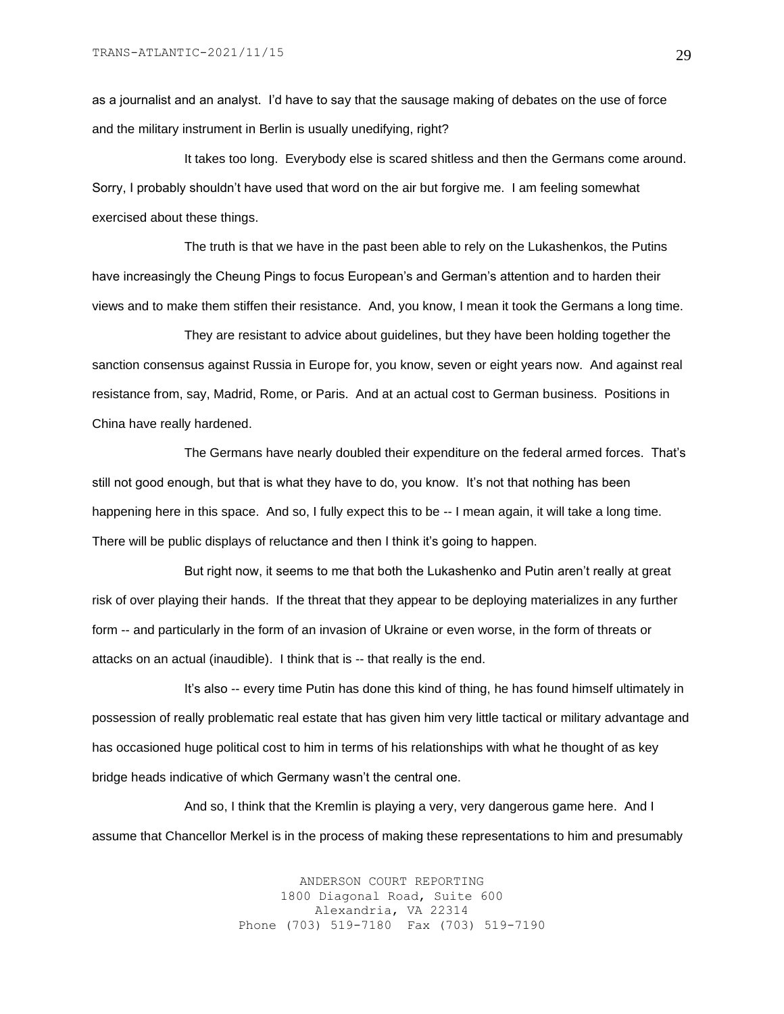as a journalist and an analyst. I'd have to say that the sausage making of debates on the use of force and the military instrument in Berlin is usually unedifying, right?

It takes too long. Everybody else is scared shitless and then the Germans come around. Sorry, I probably shouldn't have used that word on the air but forgive me. I am feeling somewhat exercised about these things.

The truth is that we have in the past been able to rely on the Lukashenkos, the Putins have increasingly the Cheung Pings to focus European's and German's attention and to harden their views and to make them stiffen their resistance. And, you know, I mean it took the Germans a long time.

They are resistant to advice about guidelines, but they have been holding together the sanction consensus against Russia in Europe for, you know, seven or eight years now. And against real resistance from, say, Madrid, Rome, or Paris. And at an actual cost to German business. Positions in China have really hardened.

The Germans have nearly doubled their expenditure on the federal armed forces. That's still not good enough, but that is what they have to do, you know. It's not that nothing has been happening here in this space. And so, I fully expect this to be -- I mean again, it will take a long time. There will be public displays of reluctance and then I think it's going to happen.

But right now, it seems to me that both the Lukashenko and Putin aren't really at great risk of over playing their hands. If the threat that they appear to be deploying materializes in any further form -- and particularly in the form of an invasion of Ukraine or even worse, in the form of threats or attacks on an actual (inaudible). I think that is -- that really is the end.

It's also -- every time Putin has done this kind of thing, he has found himself ultimately in possession of really problematic real estate that has given him very little tactical or military advantage and has occasioned huge political cost to him in terms of his relationships with what he thought of as key bridge heads indicative of which Germany wasn't the central one.

And so, I think that the Kremlin is playing a very, very dangerous game here. And I assume that Chancellor Merkel is in the process of making these representations to him and presumably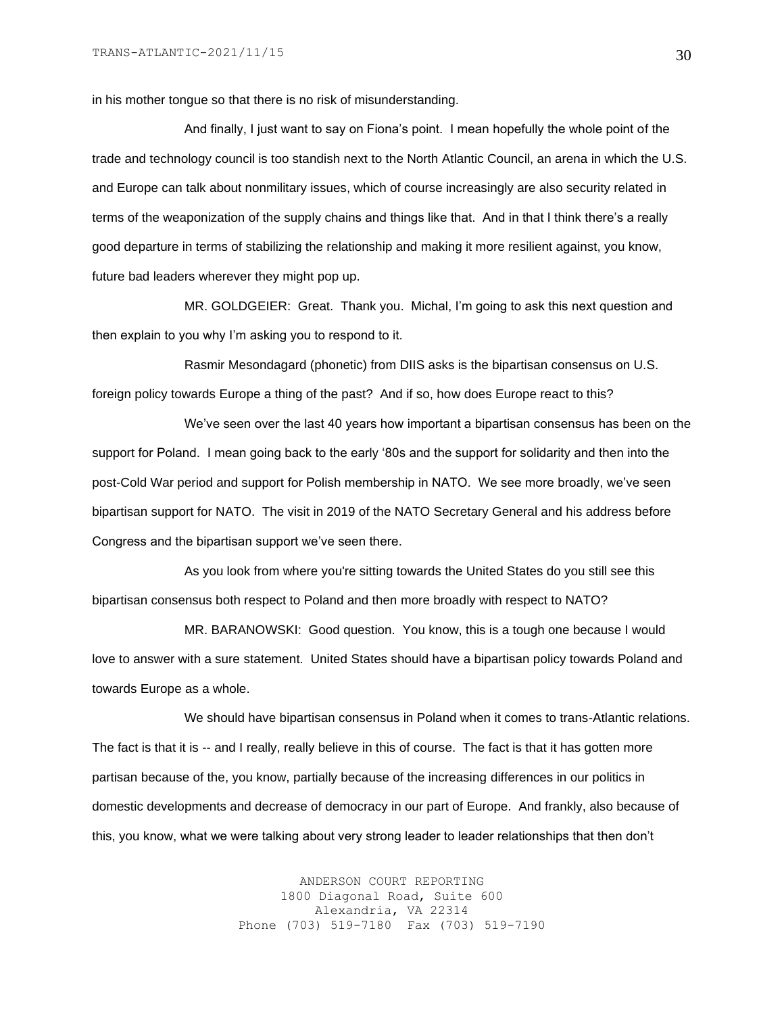in his mother tongue so that there is no risk of misunderstanding.

And finally, I just want to say on Fiona's point. I mean hopefully the whole point of the trade and technology council is too standish next to the North Atlantic Council, an arena in which the U.S. and Europe can talk about nonmilitary issues, which of course increasingly are also security related in terms of the weaponization of the supply chains and things like that. And in that I think there's a really good departure in terms of stabilizing the relationship and making it more resilient against, you know, future bad leaders wherever they might pop up.

MR. GOLDGEIER: Great. Thank you. Michal, I'm going to ask this next question and then explain to you why I'm asking you to respond to it.

Rasmir Mesondagard (phonetic) from DIIS asks is the bipartisan consensus on U.S. foreign policy towards Europe a thing of the past? And if so, how does Europe react to this?

We've seen over the last 40 years how important a bipartisan consensus has been on the support for Poland. I mean going back to the early '80s and the support for solidarity and then into the post-Cold War period and support for Polish membership in NATO. We see more broadly, we've seen bipartisan support for NATO. The visit in 2019 of the NATO Secretary General and his address before Congress and the bipartisan support we've seen there.

As you look from where you're sitting towards the United States do you still see this bipartisan consensus both respect to Poland and then more broadly with respect to NATO?

MR. BARANOWSKI: Good question. You know, this is a tough one because I would love to answer with a sure statement. United States should have a bipartisan policy towards Poland and towards Europe as a whole.

We should have bipartisan consensus in Poland when it comes to trans-Atlantic relations. The fact is that it is -- and I really, really believe in this of course. The fact is that it has gotten more partisan because of the, you know, partially because of the increasing differences in our politics in domestic developments and decrease of democracy in our part of Europe. And frankly, also because of this, you know, what we were talking about very strong leader to leader relationships that then don't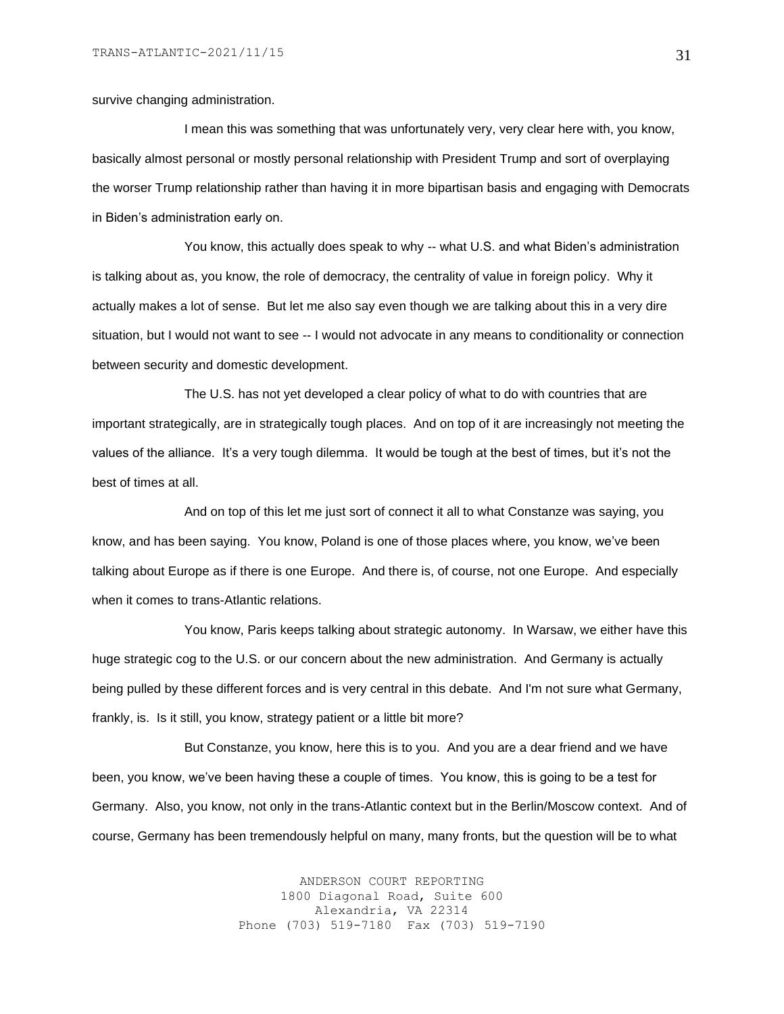survive changing administration.

I mean this was something that was unfortunately very, very clear here with, you know, basically almost personal or mostly personal relationship with President Trump and sort of overplaying the worser Trump relationship rather than having it in more bipartisan basis and engaging with Democrats in Biden's administration early on.

You know, this actually does speak to why -- what U.S. and what Biden's administration is talking about as, you know, the role of democracy, the centrality of value in foreign policy. Why it actually makes a lot of sense. But let me also say even though we are talking about this in a very dire situation, but I would not want to see -- I would not advocate in any means to conditionality or connection between security and domestic development.

The U.S. has not yet developed a clear policy of what to do with countries that are important strategically, are in strategically tough places. And on top of it are increasingly not meeting the values of the alliance. It's a very tough dilemma. It would be tough at the best of times, but it's not the best of times at all.

And on top of this let me just sort of connect it all to what Constanze was saying, you know, and has been saying. You know, Poland is one of those places where, you know, we've been talking about Europe as if there is one Europe. And there is, of course, not one Europe. And especially when it comes to trans-Atlantic relations.

You know, Paris keeps talking about strategic autonomy. In Warsaw, we either have this huge strategic cog to the U.S. or our concern about the new administration. And Germany is actually being pulled by these different forces and is very central in this debate. And I'm not sure what Germany, frankly, is. Is it still, you know, strategy patient or a little bit more?

But Constanze, you know, here this is to you. And you are a dear friend and we have been, you know, we've been having these a couple of times. You know, this is going to be a test for Germany. Also, you know, not only in the trans-Atlantic context but in the Berlin/Moscow context. And of course, Germany has been tremendously helpful on many, many fronts, but the question will be to what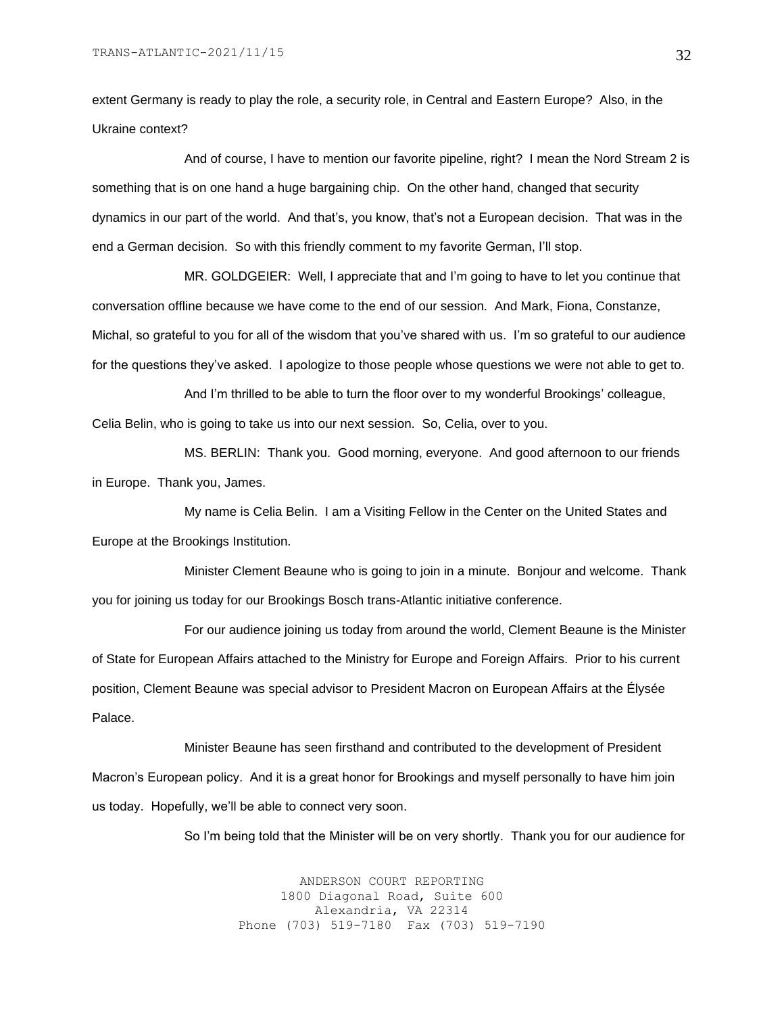extent Germany is ready to play the role, a security role, in Central and Eastern Europe? Also, in the Ukraine context?

And of course, I have to mention our favorite pipeline, right? I mean the Nord Stream 2 is something that is on one hand a huge bargaining chip. On the other hand, changed that security dynamics in our part of the world. And that's, you know, that's not a European decision. That was in the end a German decision. So with this friendly comment to my favorite German, I'll stop.

MR. GOLDGEIER: Well, I appreciate that and I'm going to have to let you continue that conversation offline because we have come to the end of our session. And Mark, Fiona, Constanze, Michal, so grateful to you for all of the wisdom that you've shared with us. I'm so grateful to our audience for the questions they've asked. I apologize to those people whose questions we were not able to get to.

And I'm thrilled to be able to turn the floor over to my wonderful Brookings' colleague, Celia Belin, who is going to take us into our next session. So, Celia, over to you.

MS. BERLIN: Thank you. Good morning, everyone. And good afternoon to our friends in Europe. Thank you, James.

My name is Celia Belin. I am a Visiting Fellow in the Center on the United States and Europe at the Brookings Institution.

Minister Clement Beaune who is going to join in a minute. Bonjour and welcome. Thank you for joining us today for our Brookings Bosch trans-Atlantic initiative conference.

For our audience joining us today from around the world, Clement Beaune is the Minister of State for European Affairs attached to the Ministry for Europe and Foreign Affairs. Prior to his current position, Clement Beaune was special advisor to President Macron on European Affairs at the Élysée Palace.

Minister Beaune has seen firsthand and contributed to the development of President Macron's European policy. And it is a great honor for Brookings and myself personally to have him join us today. Hopefully, we'll be able to connect very soon.

So I'm being told that the Minister will be on very shortly. Thank you for our audience for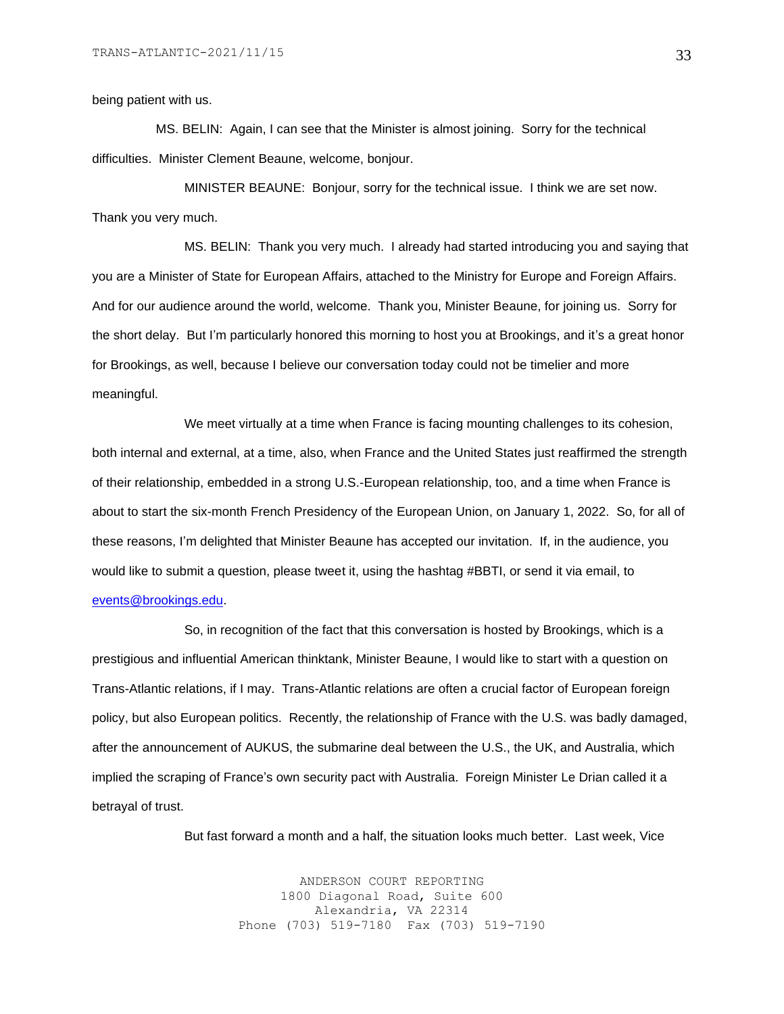#### being patient with us.

 MS. BELIN: Again, I can see that the Minister is almost joining. Sorry for the technical difficulties. Minister Clement Beaune, welcome, bonjour.

MINISTER BEAUNE: Bonjour, sorry for the technical issue. I think we are set now. Thank you very much.

MS. BELIN: Thank you very much. I already had started introducing you and saying that you are a Minister of State for European Affairs, attached to the Ministry for Europe and Foreign Affairs. And for our audience around the world, welcome. Thank you, Minister Beaune, for joining us. Sorry for the short delay. But I'm particularly honored this morning to host you at Brookings, and it's a great honor for Brookings, as well, because I believe our conversation today could not be timelier and more meaningful.

We meet virtually at a time when France is facing mounting challenges to its cohesion, both internal and external, at a time, also, when France and the United States just reaffirmed the strength of their relationship, embedded in a strong U.S.-European relationship, too, and a time when France is about to start the six-month French Presidency of the European Union, on January 1, 2022. So, for all of these reasons, I'm delighted that Minister Beaune has accepted our invitation. If, in the audience, you would like to submit a question, please tweet it, using the hashtag #BBTI, or send it via email, to [events@brookings.edu.](mailto:events@brookings.edu)

So, in recognition of the fact that this conversation is hosted by Brookings, which is a prestigious and influential American thinktank, Minister Beaune, I would like to start with a question on Trans-Atlantic relations, if I may. Trans-Atlantic relations are often a crucial factor of European foreign policy, but also European politics. Recently, the relationship of France with the U.S. was badly damaged, after the announcement of AUKUS, the submarine deal between the U.S., the UK, and Australia, which implied the scraping of France's own security pact with Australia. Foreign Minister Le Drian called it a betrayal of trust.

But fast forward a month and a half, the situation looks much better. Last week, Vice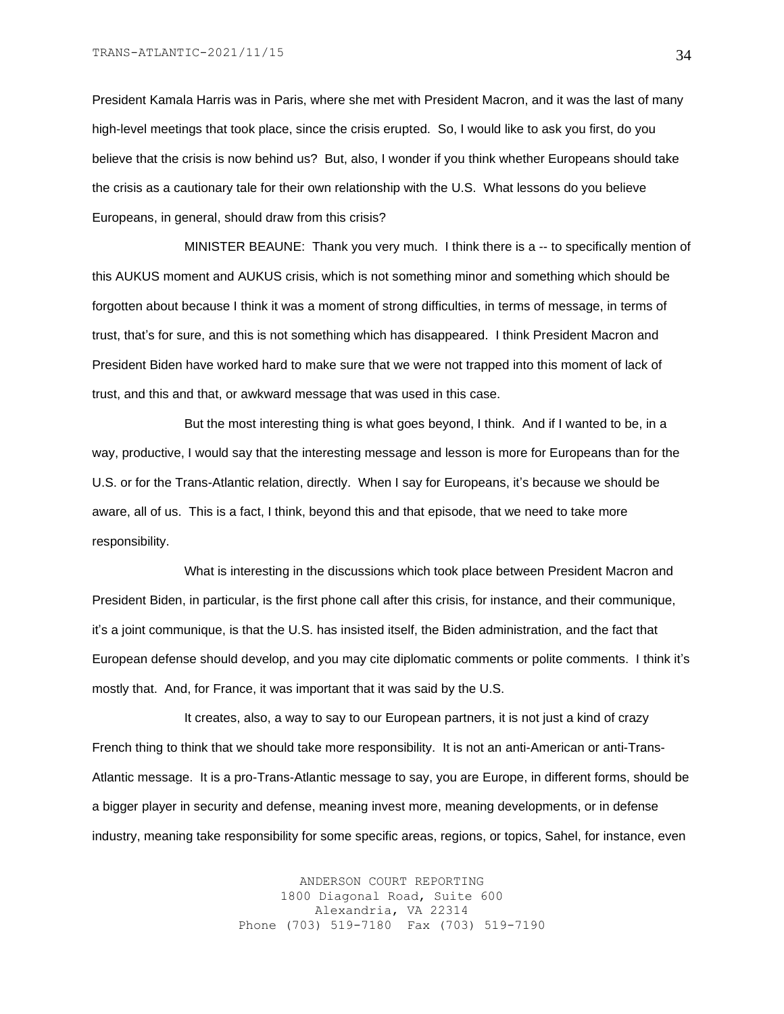President Kamala Harris was in Paris, where she met with President Macron, and it was the last of many high-level meetings that took place, since the crisis erupted. So, I would like to ask you first, do you believe that the crisis is now behind us? But, also, I wonder if you think whether Europeans should take the crisis as a cautionary tale for their own relationship with the U.S. What lessons do you believe Europeans, in general, should draw from this crisis?

MINISTER BEAUNE: Thank you very much. I think there is a -- to specifically mention of this AUKUS moment and AUKUS crisis, which is not something minor and something which should be forgotten about because I think it was a moment of strong difficulties, in terms of message, in terms of trust, that's for sure, and this is not something which has disappeared. I think President Macron and President Biden have worked hard to make sure that we were not trapped into this moment of lack of trust, and this and that, or awkward message that was used in this case.

But the most interesting thing is what goes beyond, I think. And if I wanted to be, in a way, productive, I would say that the interesting message and lesson is more for Europeans than for the U.S. or for the Trans-Atlantic relation, directly. When I say for Europeans, it's because we should be aware, all of us. This is a fact, I think, beyond this and that episode, that we need to take more responsibility.

What is interesting in the discussions which took place between President Macron and President Biden, in particular, is the first phone call after this crisis, for instance, and their communique, it's a joint communique, is that the U.S. has insisted itself, the Biden administration, and the fact that European defense should develop, and you may cite diplomatic comments or polite comments. I think it's mostly that. And, for France, it was important that it was said by the U.S.

It creates, also, a way to say to our European partners, it is not just a kind of crazy French thing to think that we should take more responsibility. It is not an anti-American or anti-Trans-Atlantic message. It is a pro-Trans-Atlantic message to say, you are Europe, in different forms, should be a bigger player in security and defense, meaning invest more, meaning developments, or in defense industry, meaning take responsibility for some specific areas, regions, or topics, Sahel, for instance, even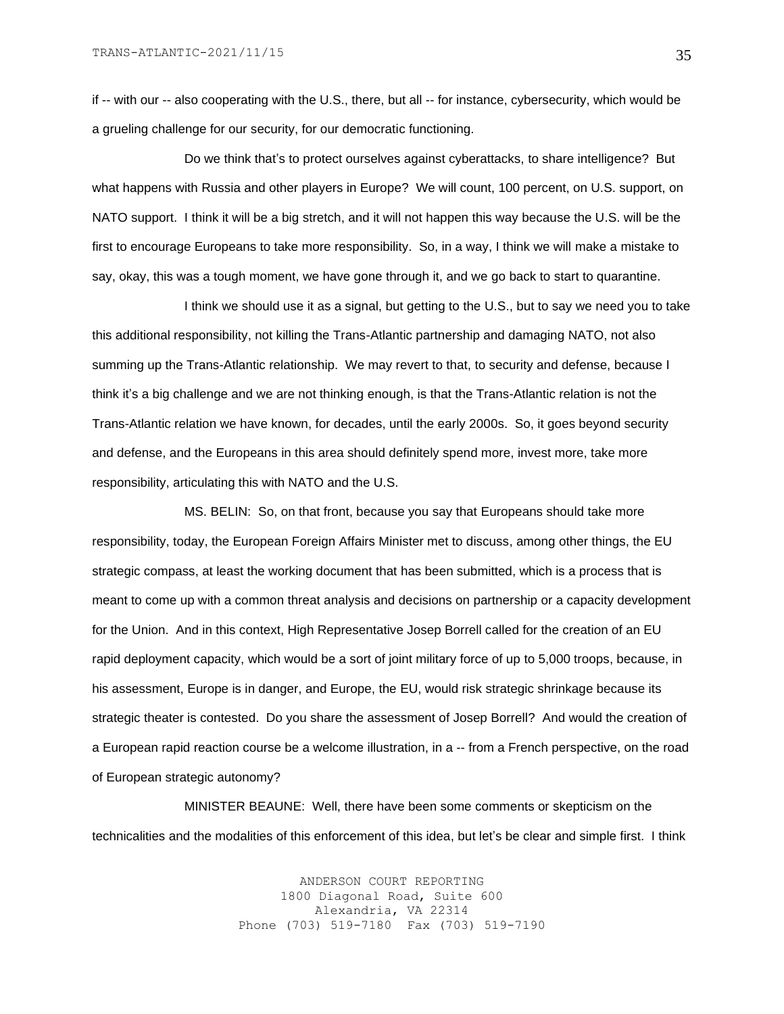if -- with our -- also cooperating with the U.S., there, but all -- for instance, cybersecurity, which would be a grueling challenge for our security, for our democratic functioning.

Do we think that's to protect ourselves against cyberattacks, to share intelligence? But what happens with Russia and other players in Europe? We will count, 100 percent, on U.S. support, on NATO support. I think it will be a big stretch, and it will not happen this way because the U.S. will be the first to encourage Europeans to take more responsibility. So, in a way, I think we will make a mistake to say, okay, this was a tough moment, we have gone through it, and we go back to start to quarantine.

I think we should use it as a signal, but getting to the U.S., but to say we need you to take this additional responsibility, not killing the Trans-Atlantic partnership and damaging NATO, not also summing up the Trans-Atlantic relationship. We may revert to that, to security and defense, because I think it's a big challenge and we are not thinking enough, is that the Trans-Atlantic relation is not the Trans-Atlantic relation we have known, for decades, until the early 2000s. So, it goes beyond security and defense, and the Europeans in this area should definitely spend more, invest more, take more responsibility, articulating this with NATO and the U.S.

MS. BELIN: So, on that front, because you say that Europeans should take more responsibility, today, the European Foreign Affairs Minister met to discuss, among other things, the EU strategic compass, at least the working document that has been submitted, which is a process that is meant to come up with a common threat analysis and decisions on partnership or a capacity development for the Union. And in this context, High Representative Josep Borrell called for the creation of an EU rapid deployment capacity, which would be a sort of joint military force of up to 5,000 troops, because, in his assessment, Europe is in danger, and Europe, the EU, would risk strategic shrinkage because its strategic theater is contested. Do you share the assessment of Josep Borrell? And would the creation of a European rapid reaction course be a welcome illustration, in a -- from a French perspective, on the road of European strategic autonomy?

MINISTER BEAUNE: Well, there have been some comments or skepticism on the technicalities and the modalities of this enforcement of this idea, but let's be clear and simple first. I think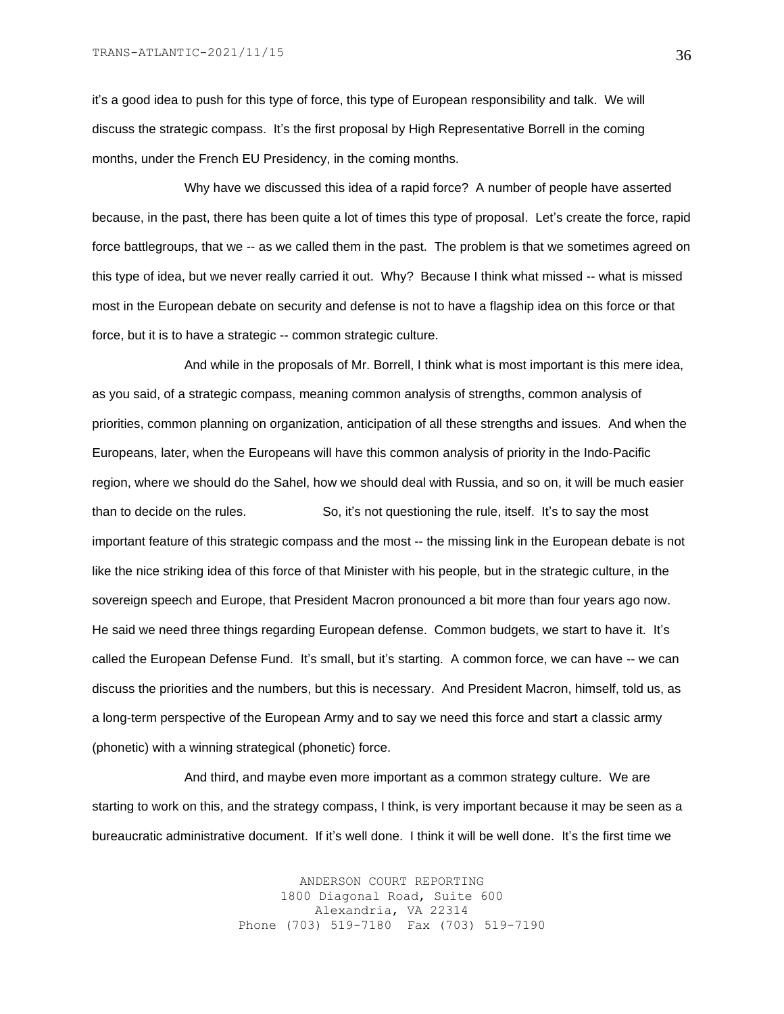it's a good idea to push for this type of force, this type of European responsibility and talk. We will discuss the strategic compass. It's the first proposal by High Representative Borrell in the coming months, under the French EU Presidency, in the coming months.

Why have we discussed this idea of a rapid force? A number of people have asserted because, in the past, there has been quite a lot of times this type of proposal. Let's create the force, rapid force battlegroups, that we -- as we called them in the past. The problem is that we sometimes agreed on this type of idea, but we never really carried it out. Why? Because I think what missed -- what is missed most in the European debate on security and defense is not to have a flagship idea on this force or that force, but it is to have a strategic -- common strategic culture.

And while in the proposals of Mr. Borrell, I think what is most important is this mere idea, as you said, of a strategic compass, meaning common analysis of strengths, common analysis of priorities, common planning on organization, anticipation of all these strengths and issues. And when the Europeans, later, when the Europeans will have this common analysis of priority in the Indo-Pacific region, where we should do the Sahel, how we should deal with Russia, and so on, it will be much easier than to decide on the rules. So, it's not questioning the rule, itself. It's to say the most important feature of this strategic compass and the most -- the missing link in the European debate is not like the nice striking idea of this force of that Minister with his people, but in the strategic culture, in the sovereign speech and Europe, that President Macron pronounced a bit more than four years ago now. He said we need three things regarding European defense. Common budgets, we start to have it. It's called the European Defense Fund. It's small, but it's starting. A common force, we can have -- we can discuss the priorities and the numbers, but this is necessary. And President Macron, himself, told us, as a long-term perspective of the European Army and to say we need this force and start a classic army (phonetic) with a winning strategical (phonetic) force.

And third, and maybe even more important as a common strategy culture. We are starting to work on this, and the strategy compass, I think, is very important because it may be seen as a bureaucratic administrative document. If it's well done. I think it will be well done. It's the first time we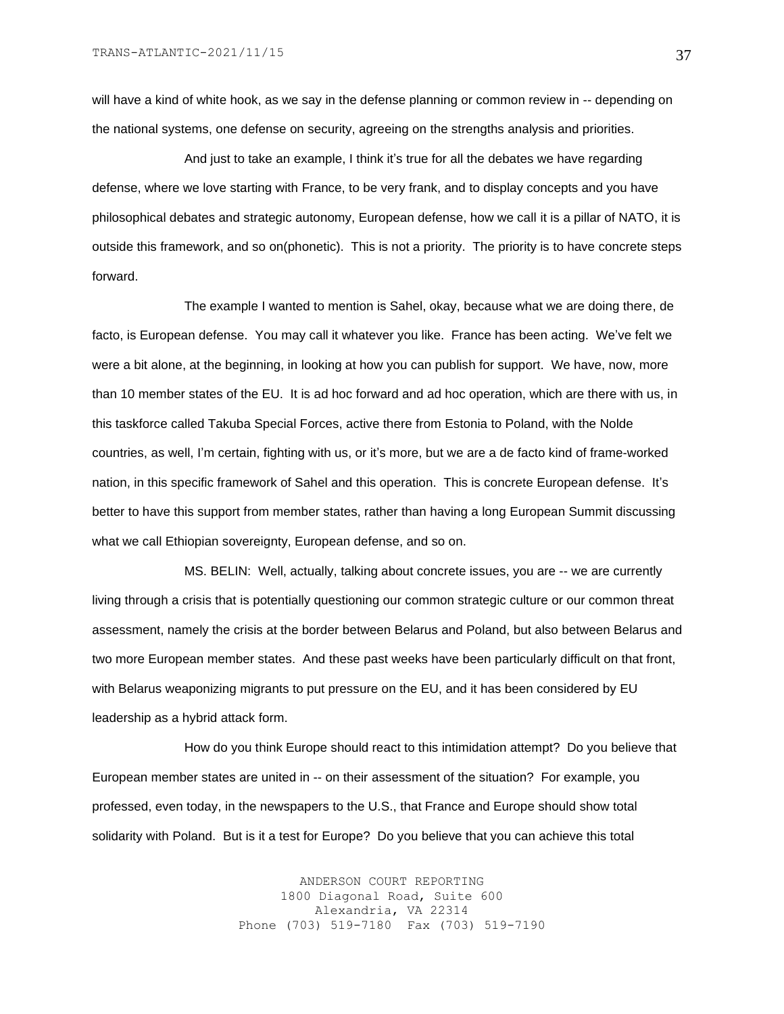will have a kind of white hook, as we say in the defense planning or common review in -- depending on the national systems, one defense on security, agreeing on the strengths analysis and priorities.

And just to take an example, I think it's true for all the debates we have regarding defense, where we love starting with France, to be very frank, and to display concepts and you have philosophical debates and strategic autonomy, European defense, how we call it is a pillar of NATO, it is outside this framework, and so on(phonetic). This is not a priority. The priority is to have concrete steps forward.

The example I wanted to mention is Sahel, okay, because what we are doing there, de facto, is European defense. You may call it whatever you like. France has been acting. We've felt we were a bit alone, at the beginning, in looking at how you can publish for support. We have, now, more than 10 member states of the EU. It is ad hoc forward and ad hoc operation, which are there with us, in this taskforce called Takuba Special Forces, active there from Estonia to Poland, with the Nolde countries, as well, I'm certain, fighting with us, or it's more, but we are a de facto kind of frame-worked nation, in this specific framework of Sahel and this operation. This is concrete European defense. It's better to have this support from member states, rather than having a long European Summit discussing what we call Ethiopian sovereignty, European defense, and so on.

MS. BELIN: Well, actually, talking about concrete issues, you are -- we are currently living through a crisis that is potentially questioning our common strategic culture or our common threat assessment, namely the crisis at the border between Belarus and Poland, but also between Belarus and two more European member states. And these past weeks have been particularly difficult on that front, with Belarus weaponizing migrants to put pressure on the EU, and it has been considered by EU leadership as a hybrid attack form.

How do you think Europe should react to this intimidation attempt? Do you believe that European member states are united in -- on their assessment of the situation? For example, you professed, even today, in the newspapers to the U.S., that France and Europe should show total solidarity with Poland. But is it a test for Europe? Do you believe that you can achieve this total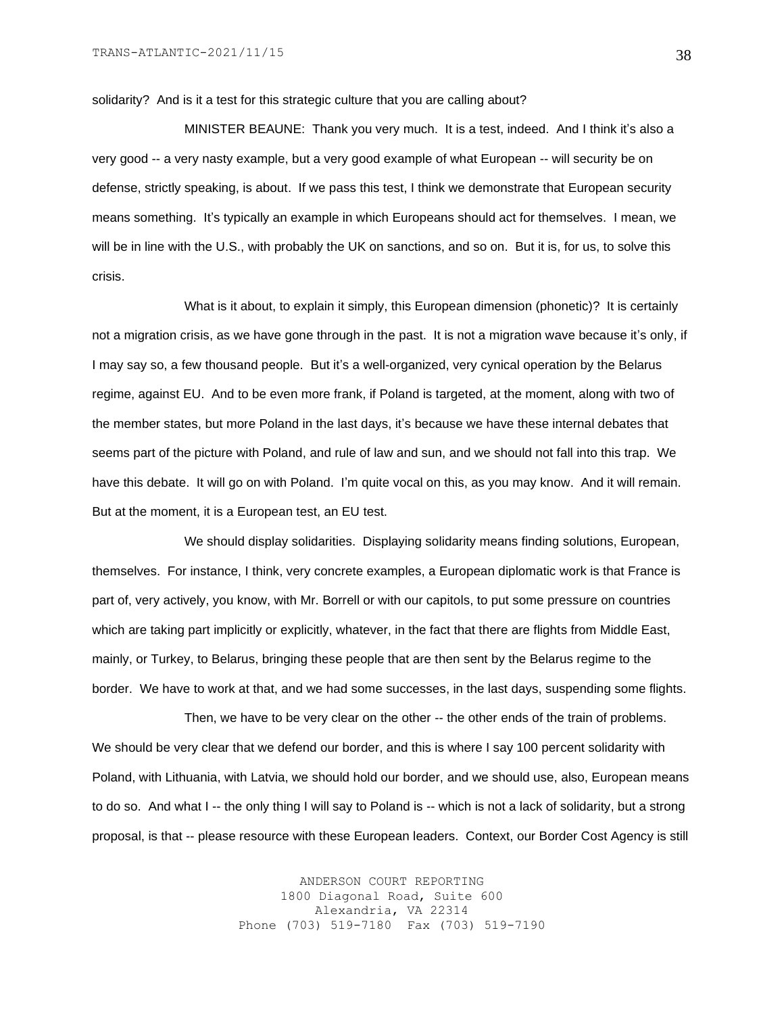solidarity? And is it a test for this strategic culture that you are calling about?

MINISTER BEAUNE: Thank you very much. It is a test, indeed. And I think it's also a very good -- a very nasty example, but a very good example of what European -- will security be on defense, strictly speaking, is about. If we pass this test, I think we demonstrate that European security means something. It's typically an example in which Europeans should act for themselves. I mean, we will be in line with the U.S., with probably the UK on sanctions, and so on. But it is, for us, to solve this crisis.

What is it about, to explain it simply, this European dimension (phonetic)? It is certainly not a migration crisis, as we have gone through in the past. It is not a migration wave because it's only, if I may say so, a few thousand people. But it's a well-organized, very cynical operation by the Belarus regime, against EU. And to be even more frank, if Poland is targeted, at the moment, along with two of the member states, but more Poland in the last days, it's because we have these internal debates that seems part of the picture with Poland, and rule of law and sun, and we should not fall into this trap. We have this debate. It will go on with Poland. I'm quite vocal on this, as you may know. And it will remain. But at the moment, it is a European test, an EU test.

We should display solidarities. Displaying solidarity means finding solutions, European, themselves. For instance, I think, very concrete examples, a European diplomatic work is that France is part of, very actively, you know, with Mr. Borrell or with our capitols, to put some pressure on countries which are taking part implicitly or explicitly, whatever, in the fact that there are flights from Middle East, mainly, or Turkey, to Belarus, bringing these people that are then sent by the Belarus regime to the border. We have to work at that, and we had some successes, in the last days, suspending some flights.

Then, we have to be very clear on the other -- the other ends of the train of problems. We should be very clear that we defend our border, and this is where I say 100 percent solidarity with Poland, with Lithuania, with Latvia, we should hold our border, and we should use, also, European means to do so. And what I -- the only thing I will say to Poland is -- which is not a lack of solidarity, but a strong proposal, is that -- please resource with these European leaders. Context, our Border Cost Agency is still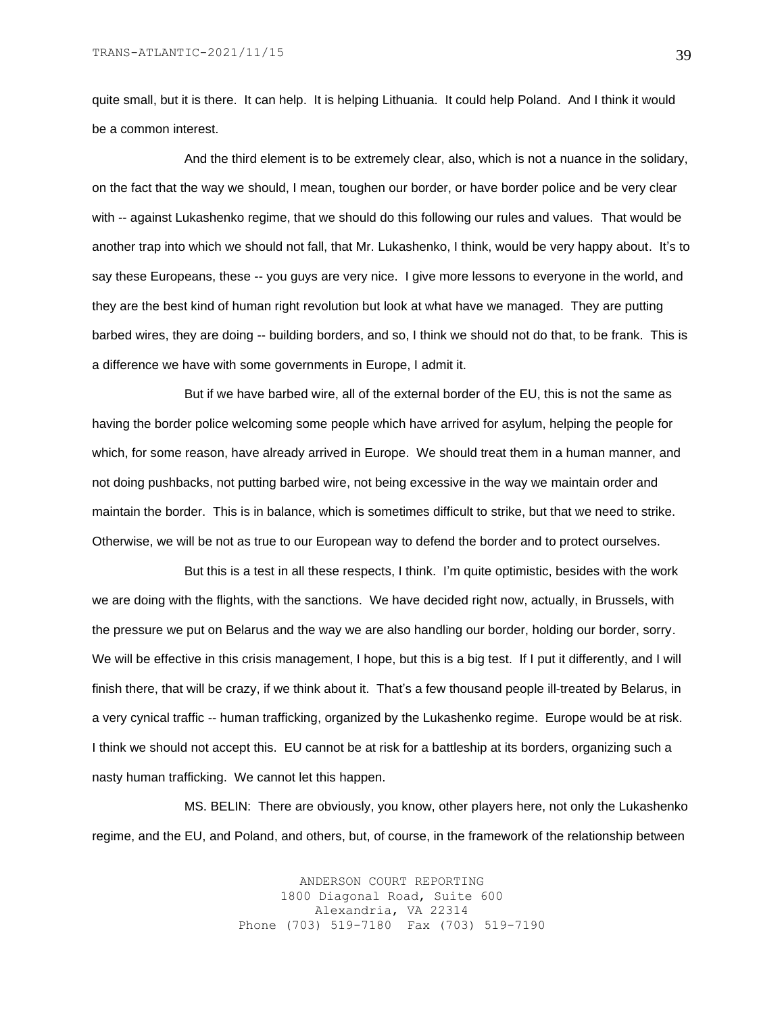quite small, but it is there. It can help. It is helping Lithuania. It could help Poland. And I think it would be a common interest.

And the third element is to be extremely clear, also, which is not a nuance in the solidary, on the fact that the way we should, I mean, toughen our border, or have border police and be very clear with -- against Lukashenko regime, that we should do this following our rules and values. That would be another trap into which we should not fall, that Mr. Lukashenko, I think, would be very happy about. It's to say these Europeans, these -- you guys are very nice. I give more lessons to everyone in the world, and they are the best kind of human right revolution but look at what have we managed. They are putting barbed wires, they are doing -- building borders, and so, I think we should not do that, to be frank. This is a difference we have with some governments in Europe, I admit it.

But if we have barbed wire, all of the external border of the EU, this is not the same as having the border police welcoming some people which have arrived for asylum, helping the people for which, for some reason, have already arrived in Europe. We should treat them in a human manner, and not doing pushbacks, not putting barbed wire, not being excessive in the way we maintain order and maintain the border. This is in balance, which is sometimes difficult to strike, but that we need to strike. Otherwise, we will be not as true to our European way to defend the border and to protect ourselves.

But this is a test in all these respects, I think. I'm quite optimistic, besides with the work we are doing with the flights, with the sanctions. We have decided right now, actually, in Brussels, with the pressure we put on Belarus and the way we are also handling our border, holding our border, sorry. We will be effective in this crisis management, I hope, but this is a big test. If I put it differently, and I will finish there, that will be crazy, if we think about it. That's a few thousand people ill-treated by Belarus, in a very cynical traffic -- human trafficking, organized by the Lukashenko regime. Europe would be at risk. I think we should not accept this. EU cannot be at risk for a battleship at its borders, organizing such a nasty human trafficking. We cannot let this happen.

MS. BELIN: There are obviously, you know, other players here, not only the Lukashenko regime, and the EU, and Poland, and others, but, of course, in the framework of the relationship between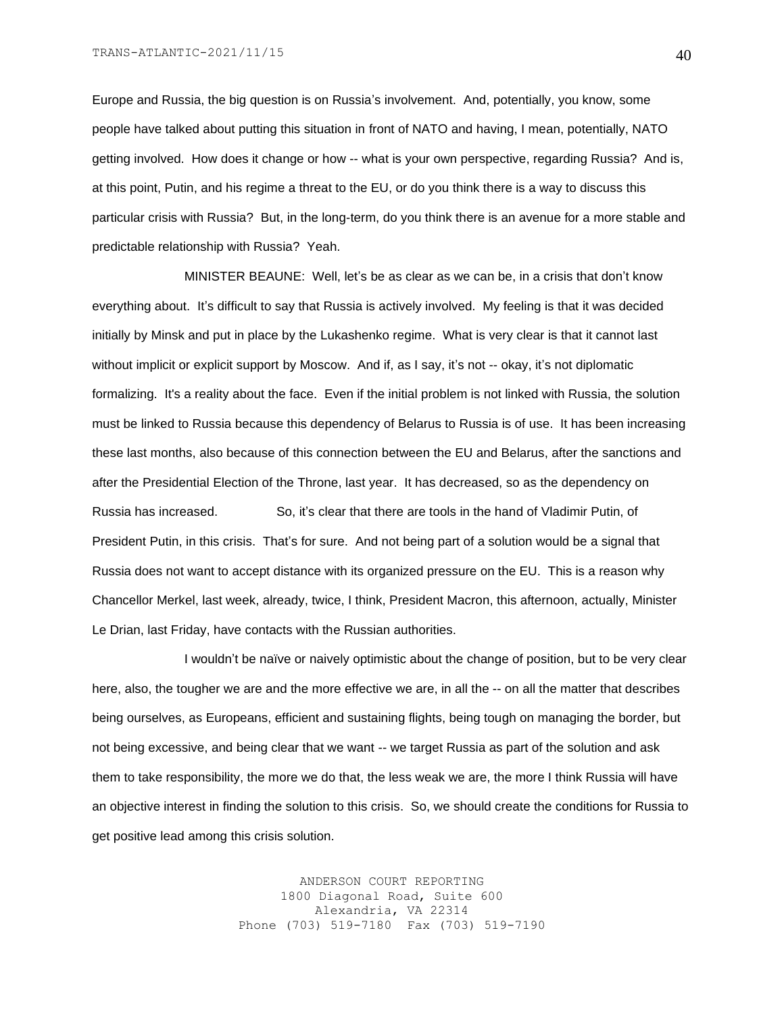Europe and Russia, the big question is on Russia's involvement. And, potentially, you know, some people have talked about putting this situation in front of NATO and having, I mean, potentially, NATO getting involved. How does it change or how -- what is your own perspective, regarding Russia? And is, at this point, Putin, and his regime a threat to the EU, or do you think there is a way to discuss this particular crisis with Russia? But, in the long-term, do you think there is an avenue for a more stable and predictable relationship with Russia? Yeah.

MINISTER BEAUNE: Well, let's be as clear as we can be, in a crisis that don't know everything about. It's difficult to say that Russia is actively involved. My feeling is that it was decided initially by Minsk and put in place by the Lukashenko regime. What is very clear is that it cannot last without implicit or explicit support by Moscow. And if, as I say, it's not -- okay, it's not diplomatic formalizing. It's a reality about the face. Even if the initial problem is not linked with Russia, the solution must be linked to Russia because this dependency of Belarus to Russia is of use. It has been increasing these last months, also because of this connection between the EU and Belarus, after the sanctions and after the Presidential Election of the Throne, last year. It has decreased, so as the dependency on Russia has increased. So, it's clear that there are tools in the hand of Vladimir Putin, of President Putin, in this crisis. That's for sure. And not being part of a solution would be a signal that Russia does not want to accept distance with its organized pressure on the EU. This is a reason why Chancellor Merkel, last week, already, twice, I think, President Macron, this afternoon, actually, Minister Le Drian, last Friday, have contacts with the Russian authorities.

I wouldn't be naïve or naively optimistic about the change of position, but to be very clear here, also, the tougher we are and the more effective we are, in all the -- on all the matter that describes being ourselves, as Europeans, efficient and sustaining flights, being tough on managing the border, but not being excessive, and being clear that we want -- we target Russia as part of the solution and ask them to take responsibility, the more we do that, the less weak we are, the more I think Russia will have an objective interest in finding the solution to this crisis. So, we should create the conditions for Russia to get positive lead among this crisis solution.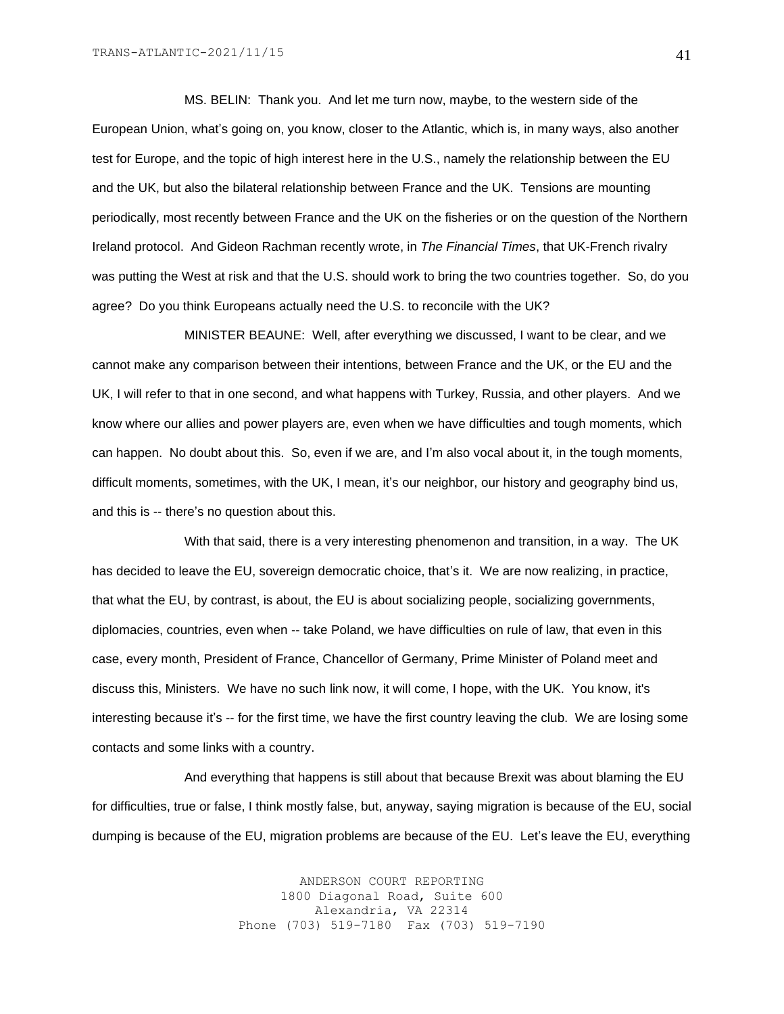MS. BELIN: Thank you. And let me turn now, maybe, to the western side of the European Union, what's going on, you know, closer to the Atlantic, which is, in many ways, also another test for Europe, and the topic of high interest here in the U.S., namely the relationship between the EU and the UK, but also the bilateral relationship between France and the UK. Tensions are mounting periodically, most recently between France and the UK on the fisheries or on the question of the Northern Ireland protocol. And Gideon Rachman recently wrote, in *The Financial Times*, that UK-French rivalry was putting the West at risk and that the U.S. should work to bring the two countries together. So, do you agree? Do you think Europeans actually need the U.S. to reconcile with the UK?

MINISTER BEAUNE: Well, after everything we discussed, I want to be clear, and we cannot make any comparison between their intentions, between France and the UK, or the EU and the UK, I will refer to that in one second, and what happens with Turkey, Russia, and other players. And we know where our allies and power players are, even when we have difficulties and tough moments, which can happen. No doubt about this. So, even if we are, and I'm also vocal about it, in the tough moments, difficult moments, sometimes, with the UK, I mean, it's our neighbor, our history and geography bind us, and this is -- there's no question about this.

With that said, there is a very interesting phenomenon and transition, in a way. The UK has decided to leave the EU, sovereign democratic choice, that's it. We are now realizing, in practice, that what the EU, by contrast, is about, the EU is about socializing people, socializing governments, diplomacies, countries, even when -- take Poland, we have difficulties on rule of law, that even in this case, every month, President of France, Chancellor of Germany, Prime Minister of Poland meet and discuss this, Ministers. We have no such link now, it will come, I hope, with the UK. You know, it's interesting because it's -- for the first time, we have the first country leaving the club. We are losing some contacts and some links with a country.

And everything that happens is still about that because Brexit was about blaming the EU for difficulties, true or false, I think mostly false, but, anyway, saying migration is because of the EU, social dumping is because of the EU, migration problems are because of the EU. Let's leave the EU, everything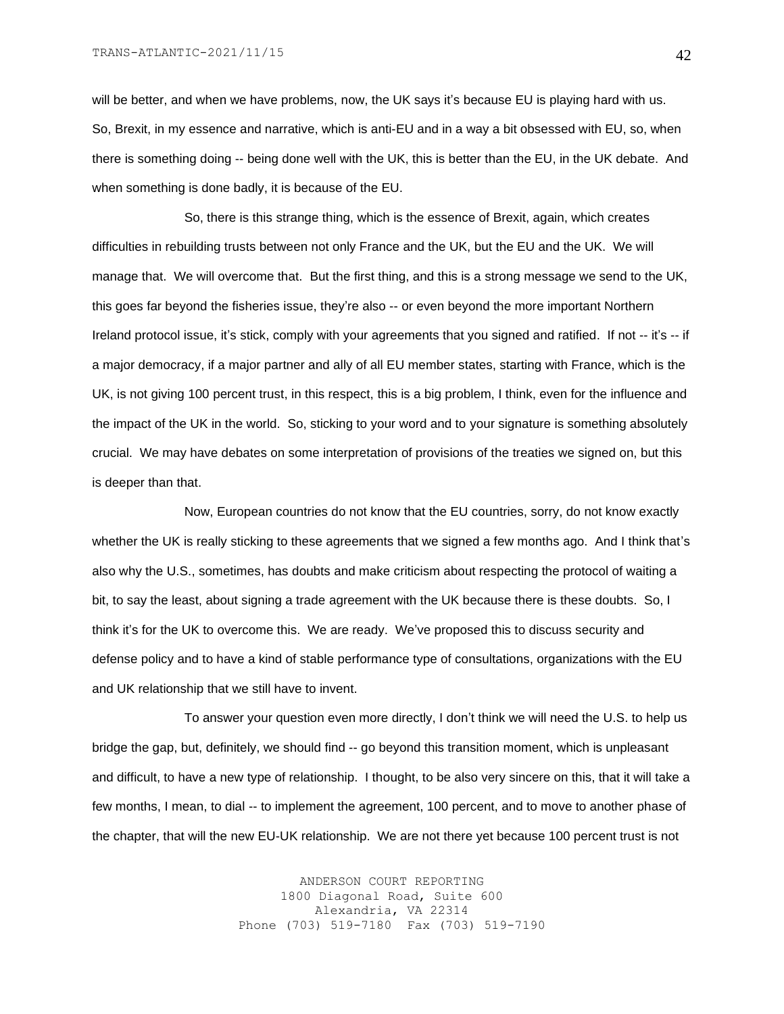will be better, and when we have problems, now, the UK says it's because EU is playing hard with us. So, Brexit, in my essence and narrative, which is anti-EU and in a way a bit obsessed with EU, so, when there is something doing -- being done well with the UK, this is better than the EU, in the UK debate. And when something is done badly, it is because of the EU.

So, there is this strange thing, which is the essence of Brexit, again, which creates difficulties in rebuilding trusts between not only France and the UK, but the EU and the UK. We will manage that. We will overcome that. But the first thing, and this is a strong message we send to the UK, this goes far beyond the fisheries issue, they're also -- or even beyond the more important Northern Ireland protocol issue, it's stick, comply with your agreements that you signed and ratified. If not -- it's -- if a major democracy, if a major partner and ally of all EU member states, starting with France, which is the UK, is not giving 100 percent trust, in this respect, this is a big problem, I think, even for the influence and the impact of the UK in the world. So, sticking to your word and to your signature is something absolutely crucial. We may have debates on some interpretation of provisions of the treaties we signed on, but this is deeper than that.

Now, European countries do not know that the EU countries, sorry, do not know exactly whether the UK is really sticking to these agreements that we signed a few months ago. And I think that's also why the U.S., sometimes, has doubts and make criticism about respecting the protocol of waiting a bit, to say the least, about signing a trade agreement with the UK because there is these doubts. So, I think it's for the UK to overcome this. We are ready. We've proposed this to discuss security and defense policy and to have a kind of stable performance type of consultations, organizations with the EU and UK relationship that we still have to invent.

To answer your question even more directly, I don't think we will need the U.S. to help us bridge the gap, but, definitely, we should find -- go beyond this transition moment, which is unpleasant and difficult, to have a new type of relationship. I thought, to be also very sincere on this, that it will take a few months, I mean, to dial -- to implement the agreement, 100 percent, and to move to another phase of the chapter, that will the new EU-UK relationship. We are not there yet because 100 percent trust is not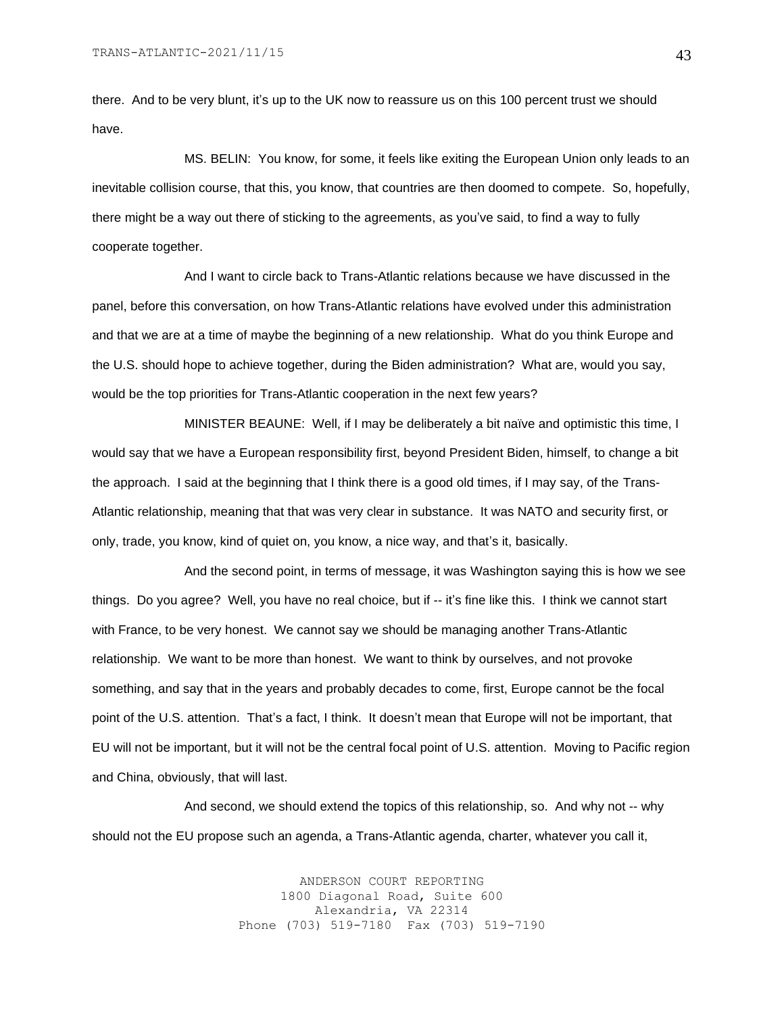there. And to be very blunt, it's up to the UK now to reassure us on this 100 percent trust we should have.

MS. BELIN: You know, for some, it feels like exiting the European Union only leads to an inevitable collision course, that this, you know, that countries are then doomed to compete. So, hopefully, there might be a way out there of sticking to the agreements, as you've said, to find a way to fully cooperate together.

And I want to circle back to Trans-Atlantic relations because we have discussed in the panel, before this conversation, on how Trans-Atlantic relations have evolved under this administration and that we are at a time of maybe the beginning of a new relationship. What do you think Europe and the U.S. should hope to achieve together, during the Biden administration? What are, would you say, would be the top priorities for Trans-Atlantic cooperation in the next few years?

MINISTER BEAUNE: Well, if I may be deliberately a bit naïve and optimistic this time, I would say that we have a European responsibility first, beyond President Biden, himself, to change a bit the approach. I said at the beginning that I think there is a good old times, if I may say, of the Trans-Atlantic relationship, meaning that that was very clear in substance. It was NATO and security first, or only, trade, you know, kind of quiet on, you know, a nice way, and that's it, basically.

And the second point, in terms of message, it was Washington saying this is how we see things. Do you agree? Well, you have no real choice, but if -- it's fine like this. I think we cannot start with France, to be very honest. We cannot say we should be managing another Trans-Atlantic relationship. We want to be more than honest. We want to think by ourselves, and not provoke something, and say that in the years and probably decades to come, first, Europe cannot be the focal point of the U.S. attention. That's a fact, I think. It doesn't mean that Europe will not be important, that EU will not be important, but it will not be the central focal point of U.S. attention. Moving to Pacific region and China, obviously, that will last.

And second, we should extend the topics of this relationship, so. And why not -- why should not the EU propose such an agenda, a Trans-Atlantic agenda, charter, whatever you call it,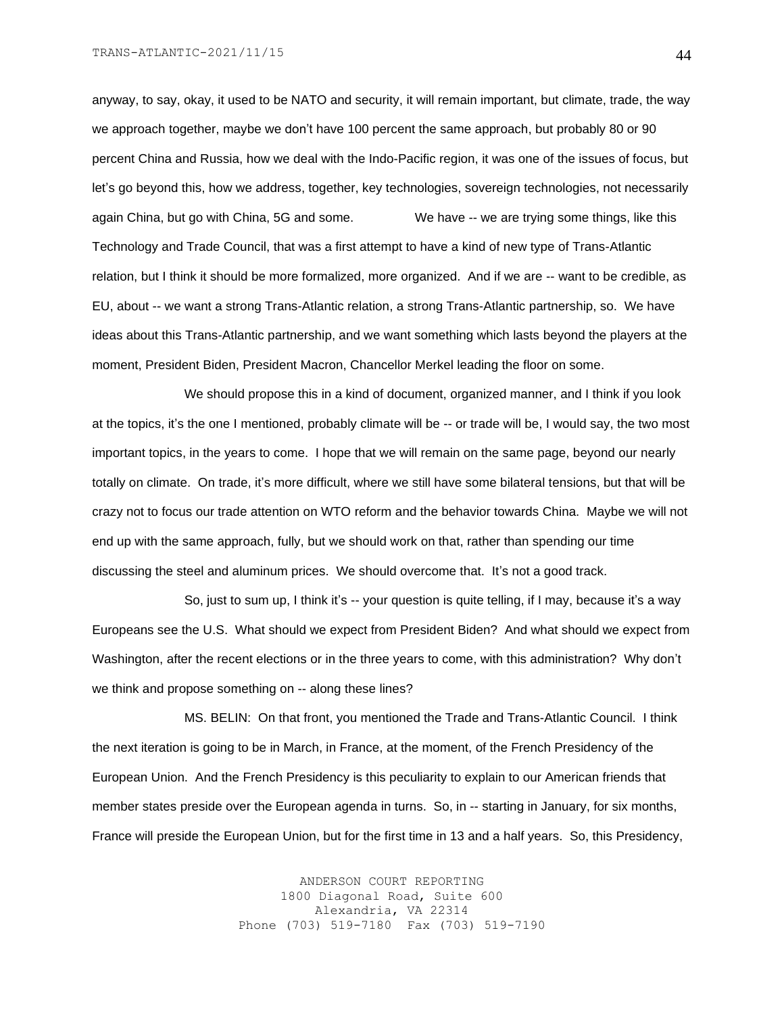anyway, to say, okay, it used to be NATO and security, it will remain important, but climate, trade, the way we approach together, maybe we don't have 100 percent the same approach, but probably 80 or 90 percent China and Russia, how we deal with the Indo-Pacific region, it was one of the issues of focus, but let's go beyond this, how we address, together, key technologies, sovereign technologies, not necessarily again China, but go with China, 5G and some. We have -- we are trying some things, like this Technology and Trade Council, that was a first attempt to have a kind of new type of Trans-Atlantic relation, but I think it should be more formalized, more organized. And if we are -- want to be credible, as EU, about -- we want a strong Trans-Atlantic relation, a strong Trans-Atlantic partnership, so. We have ideas about this Trans-Atlantic partnership, and we want something which lasts beyond the players at the moment, President Biden, President Macron, Chancellor Merkel leading the floor on some.

We should propose this in a kind of document, organized manner, and I think if you look at the topics, it's the one I mentioned, probably climate will be -- or trade will be, I would say, the two most important topics, in the years to come. I hope that we will remain on the same page, beyond our nearly totally on climate. On trade, it's more difficult, where we still have some bilateral tensions, but that will be crazy not to focus our trade attention on WTO reform and the behavior towards China. Maybe we will not end up with the same approach, fully, but we should work on that, rather than spending our time discussing the steel and aluminum prices. We should overcome that. It's not a good track.

So, just to sum up, I think it's -- your question is quite telling, if I may, because it's a way Europeans see the U.S. What should we expect from President Biden? And what should we expect from Washington, after the recent elections or in the three years to come, with this administration? Why don't we think and propose something on -- along these lines?

MS. BELIN: On that front, you mentioned the Trade and Trans-Atlantic Council. I think the next iteration is going to be in March, in France, at the moment, of the French Presidency of the European Union. And the French Presidency is this peculiarity to explain to our American friends that member states preside over the European agenda in turns. So, in -- starting in January, for six months, France will preside the European Union, but for the first time in 13 and a half years. So, this Presidency,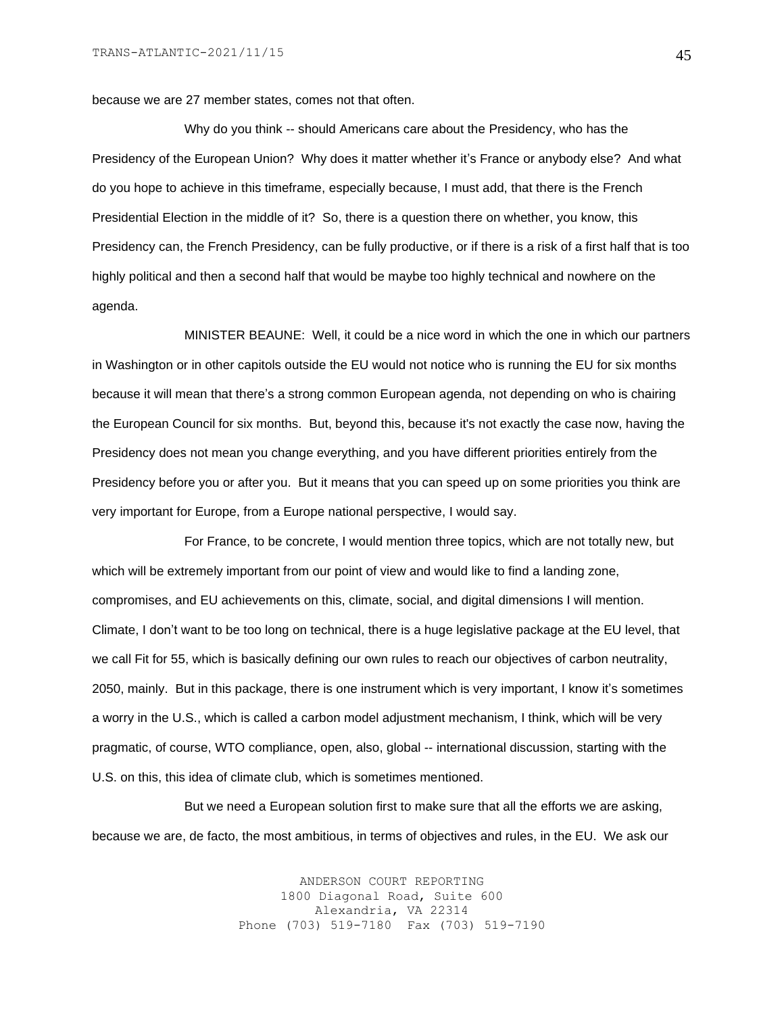because we are 27 member states, comes not that often.

Why do you think -- should Americans care about the Presidency, who has the Presidency of the European Union? Why does it matter whether it's France or anybody else? And what do you hope to achieve in this timeframe, especially because, I must add, that there is the French Presidential Election in the middle of it? So, there is a question there on whether, you know, this Presidency can, the French Presidency, can be fully productive, or if there is a risk of a first half that is too highly political and then a second half that would be maybe too highly technical and nowhere on the agenda.

MINISTER BEAUNE: Well, it could be a nice word in which the one in which our partners in Washington or in other capitols outside the EU would not notice who is running the EU for six months because it will mean that there's a strong common European agenda, not depending on who is chairing the European Council for six months. But, beyond this, because it's not exactly the case now, having the Presidency does not mean you change everything, and you have different priorities entirely from the Presidency before you or after you. But it means that you can speed up on some priorities you think are very important for Europe, from a Europe national perspective, I would say.

For France, to be concrete, I would mention three topics, which are not totally new, but which will be extremely important from our point of view and would like to find a landing zone, compromises, and EU achievements on this, climate, social, and digital dimensions I will mention. Climate, I don't want to be too long on technical, there is a huge legislative package at the EU level, that we call Fit for 55, which is basically defining our own rules to reach our objectives of carbon neutrality, 2050, mainly. But in this package, there is one instrument which is very important, I know it's sometimes a worry in the U.S., which is called a carbon model adjustment mechanism, I think, which will be very pragmatic, of course, WTO compliance, open, also, global -- international discussion, starting with the U.S. on this, this idea of climate club, which is sometimes mentioned.

But we need a European solution first to make sure that all the efforts we are asking, because we are, de facto, the most ambitious, in terms of objectives and rules, in the EU. We ask our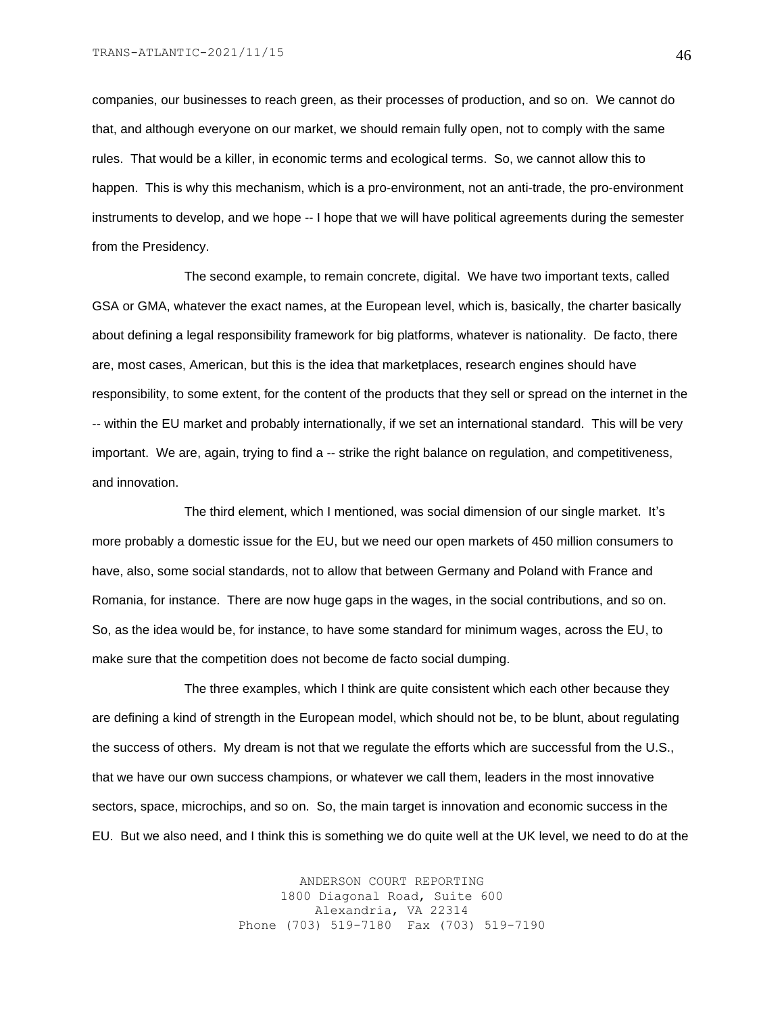companies, our businesses to reach green, as their processes of production, and so on. We cannot do that, and although everyone on our market, we should remain fully open, not to comply with the same rules. That would be a killer, in economic terms and ecological terms. So, we cannot allow this to happen. This is why this mechanism, which is a pro-environment, not an anti-trade, the pro-environment instruments to develop, and we hope -- I hope that we will have political agreements during the semester from the Presidency.

The second example, to remain concrete, digital. We have two important texts, called GSA or GMA, whatever the exact names, at the European level, which is, basically, the charter basically about defining a legal responsibility framework for big platforms, whatever is nationality. De facto, there are, most cases, American, but this is the idea that marketplaces, research engines should have responsibility, to some extent, for the content of the products that they sell or spread on the internet in the -- within the EU market and probably internationally, if we set an international standard. This will be very important. We are, again, trying to find a -- strike the right balance on regulation, and competitiveness, and innovation.

The third element, which I mentioned, was social dimension of our single market. It's more probably a domestic issue for the EU, but we need our open markets of 450 million consumers to have, also, some social standards, not to allow that between Germany and Poland with France and Romania, for instance. There are now huge gaps in the wages, in the social contributions, and so on. So, as the idea would be, for instance, to have some standard for minimum wages, across the EU, to make sure that the competition does not become de facto social dumping.

The three examples, which I think are quite consistent which each other because they are defining a kind of strength in the European model, which should not be, to be blunt, about regulating the success of others. My dream is not that we regulate the efforts which are successful from the U.S., that we have our own success champions, or whatever we call them, leaders in the most innovative sectors, space, microchips, and so on. So, the main target is innovation and economic success in the EU. But we also need, and I think this is something we do quite well at the UK level, we need to do at the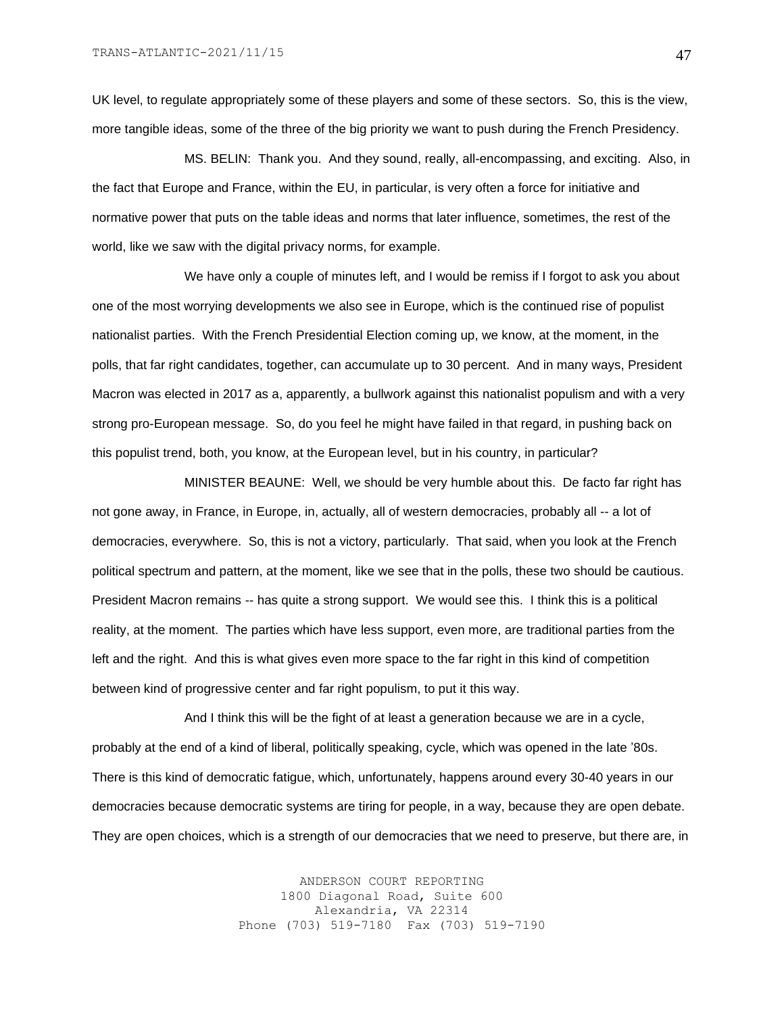UK level, to regulate appropriately some of these players and some of these sectors. So, this is the view, more tangible ideas, some of the three of the big priority we want to push during the French Presidency.

MS. BELIN: Thank you. And they sound, really, all-encompassing, and exciting. Also, in the fact that Europe and France, within the EU, in particular, is very often a force for initiative and normative power that puts on the table ideas and norms that later influence, sometimes, the rest of the world, like we saw with the digital privacy norms, for example.

We have only a couple of minutes left, and I would be remiss if I forgot to ask you about one of the most worrying developments we also see in Europe, which is the continued rise of populist nationalist parties. With the French Presidential Election coming up, we know, at the moment, in the polls, that far right candidates, together, can accumulate up to 30 percent. And in many ways, President Macron was elected in 2017 as a, apparently, a bullwork against this nationalist populism and with a very strong pro-European message. So, do you feel he might have failed in that regard, in pushing back on this populist trend, both, you know, at the European level, but in his country, in particular?

MINISTER BEAUNE: Well, we should be very humble about this. De facto far right has not gone away, in France, in Europe, in, actually, all of western democracies, probably all -- a lot of democracies, everywhere. So, this is not a victory, particularly. That said, when you look at the French political spectrum and pattern, at the moment, like we see that in the polls, these two should be cautious. President Macron remains -- has quite a strong support. We would see this. I think this is a political reality, at the moment. The parties which have less support, even more, are traditional parties from the left and the right. And this is what gives even more space to the far right in this kind of competition between kind of progressive center and far right populism, to put it this way.

And I think this will be the fight of at least a generation because we are in a cycle, probably at the end of a kind of liberal, politically speaking, cycle, which was opened in the late '80s. There is this kind of democratic fatigue, which, unfortunately, happens around every 30-40 years in our democracies because democratic systems are tiring for people, in a way, because they are open debate. They are open choices, which is a strength of our democracies that we need to preserve, but there are, in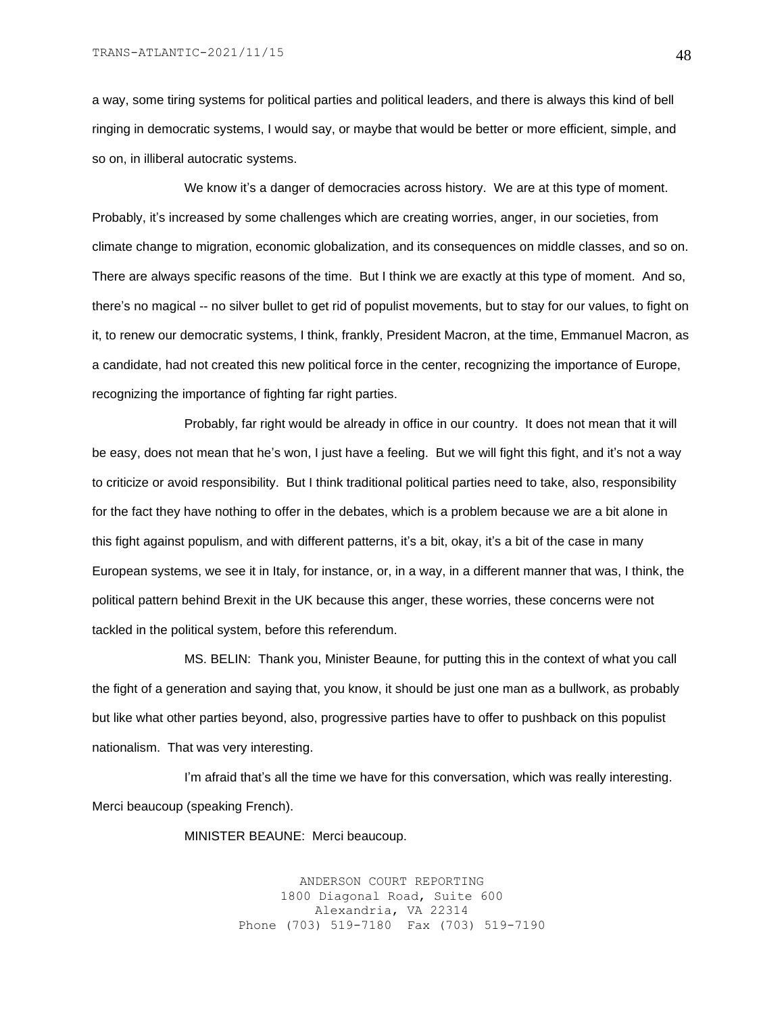a way, some tiring systems for political parties and political leaders, and there is always this kind of bell ringing in democratic systems, I would say, or maybe that would be better or more efficient, simple, and so on, in illiberal autocratic systems.

We know it's a danger of democracies across history. We are at this type of moment. Probably, it's increased by some challenges which are creating worries, anger, in our societies, from climate change to migration, economic globalization, and its consequences on middle classes, and so on. There are always specific reasons of the time. But I think we are exactly at this type of moment. And so, there's no magical -- no silver bullet to get rid of populist movements, but to stay for our values, to fight on it, to renew our democratic systems, I think, frankly, President Macron, at the time, Emmanuel Macron, as a candidate, had not created this new political force in the center, recognizing the importance of Europe, recognizing the importance of fighting far right parties.

Probably, far right would be already in office in our country. It does not mean that it will be easy, does not mean that he's won, I just have a feeling. But we will fight this fight, and it's not a way to criticize or avoid responsibility. But I think traditional political parties need to take, also, responsibility for the fact they have nothing to offer in the debates, which is a problem because we are a bit alone in this fight against populism, and with different patterns, it's a bit, okay, it's a bit of the case in many European systems, we see it in Italy, for instance, or, in a way, in a different manner that was, I think, the political pattern behind Brexit in the UK because this anger, these worries, these concerns were not tackled in the political system, before this referendum.

MS. BELIN: Thank you, Minister Beaune, for putting this in the context of what you call the fight of a generation and saying that, you know, it should be just one man as a bullwork, as probably but like what other parties beyond, also, progressive parties have to offer to pushback on this populist nationalism. That was very interesting.

I'm afraid that's all the time we have for this conversation, which was really interesting. Merci beaucoup (speaking French).

MINISTER BEAUNE: Merci beaucoup.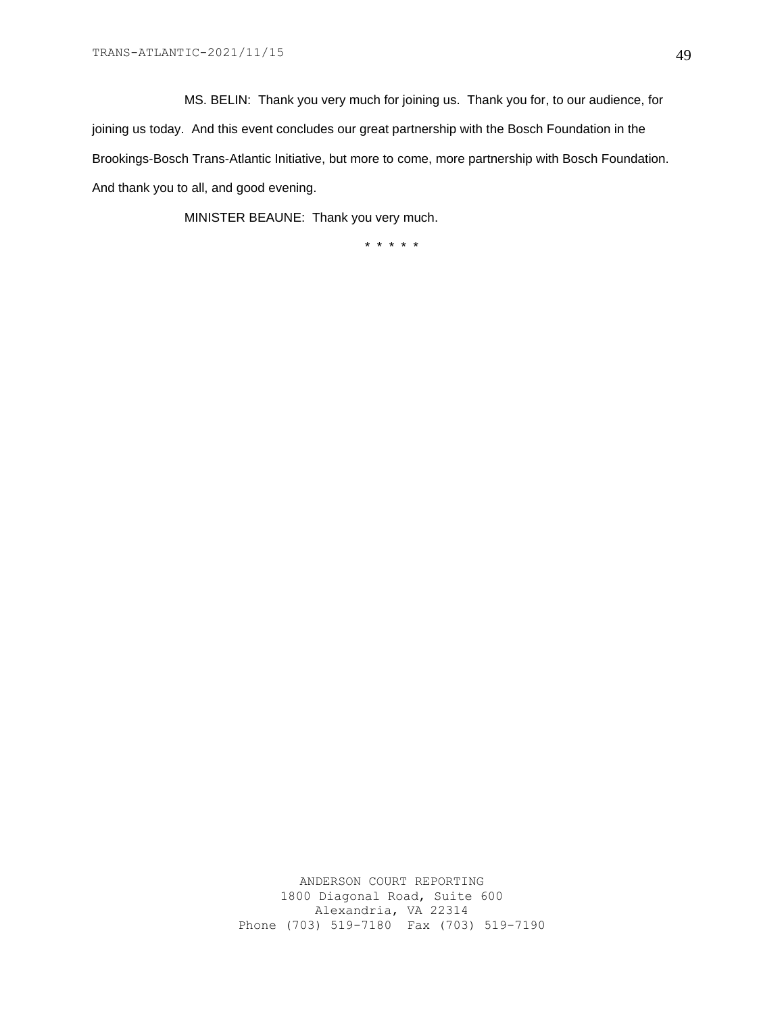MS. BELIN: Thank you very much for joining us. Thank you for, to our audience, for joining us today. And this event concludes our great partnership with the Bosch Foundation in the Brookings-Bosch Trans-Atlantic Initiative, but more to come, more partnership with Bosch Foundation. And thank you to all, and good evening.

MINISTER BEAUNE: Thank you very much.

\* \* \* \* \*